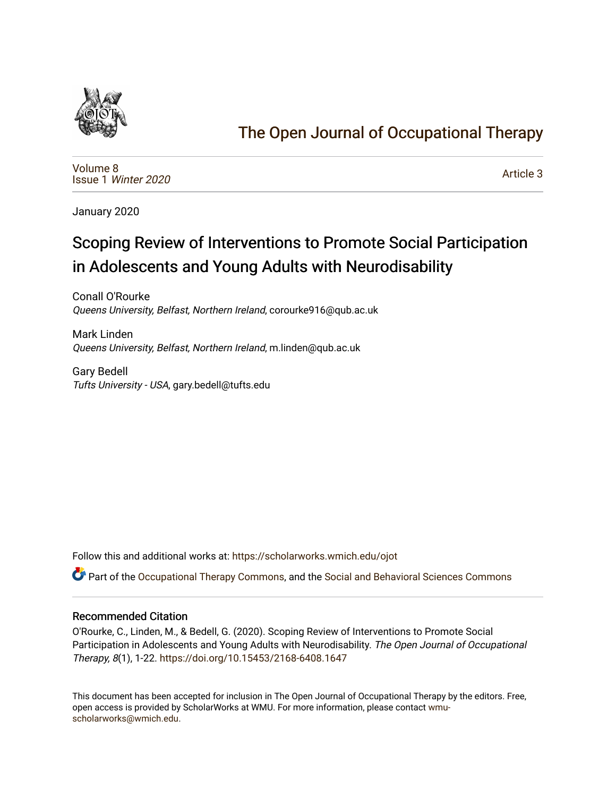

## [The Open Journal of Occupational Therapy](https://scholarworks.wmich.edu/ojot)

[Volume 8](https://scholarworks.wmich.edu/ojot/vol8) Issue 1 [Winter 2020](https://scholarworks.wmich.edu/ojot/vol8/iss1) 

[Article 3](https://scholarworks.wmich.edu/ojot/vol8/iss1/3) 

January 2020

# Scoping Review of Interventions to Promote Social Participation in Adolescents and Young Adults with Neurodisability

Conall O'Rourke Queens University, Belfast, Northern Ireland, corourke916@qub.ac.uk

Mark Linden Queens University, Belfast, Northern Ireland, m.linden@qub.ac.uk

Gary Bedell Tufts University - USA, gary.bedell@tufts.edu

Follow this and additional works at: [https://scholarworks.wmich.edu/ojot](https://scholarworks.wmich.edu/ojot?utm_source=scholarworks.wmich.edu%2Fojot%2Fvol8%2Fiss1%2F3&utm_medium=PDF&utm_campaign=PDFCoverPages)

Part of the [Occupational Therapy Commons,](http://network.bepress.com/hgg/discipline/752?utm_source=scholarworks.wmich.edu%2Fojot%2Fvol8%2Fiss1%2F3&utm_medium=PDF&utm_campaign=PDFCoverPages) and the [Social and Behavioral Sciences Commons](http://network.bepress.com/hgg/discipline/316?utm_source=scholarworks.wmich.edu%2Fojot%2Fvol8%2Fiss1%2F3&utm_medium=PDF&utm_campaign=PDFCoverPages) 

#### Recommended Citation

O'Rourke, C., Linden, M., & Bedell, G. (2020). Scoping Review of Interventions to Promote Social Participation in Adolescents and Young Adults with Neurodisability. The Open Journal of Occupational Therapy, 8(1), 1-22. <https://doi.org/10.15453/2168-6408.1647>

This document has been accepted for inclusion in The Open Journal of Occupational Therapy by the editors. Free, open access is provided by ScholarWorks at WMU. For more information, please contact [wmu](mailto:wmu-scholarworks@wmich.edu)[scholarworks@wmich.edu.](mailto:wmu-scholarworks@wmich.edu)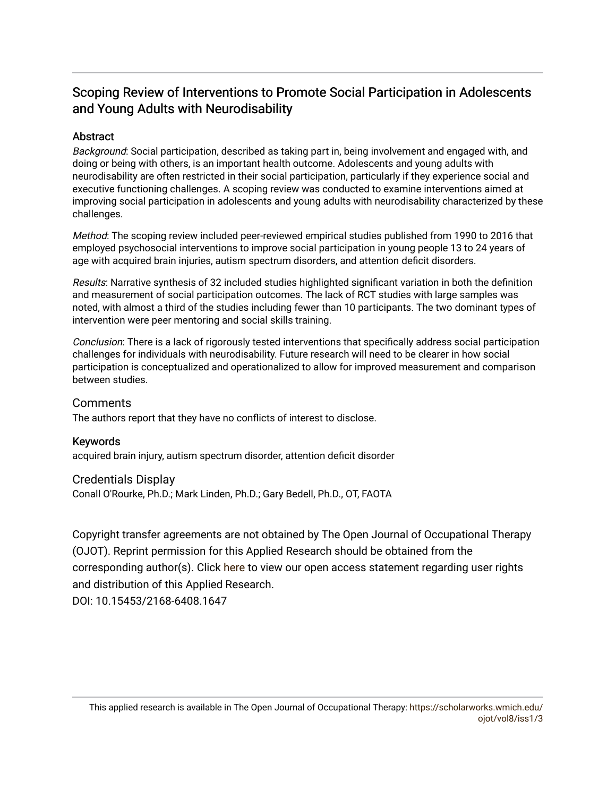## Scoping Review of Interventions to Promote Social Participation in Adolescents and Young Adults with Neurodisability

## **Abstract**

Background: Social participation, described as taking part in, being involvement and engaged with, and doing or being with others, is an important health outcome. Adolescents and young adults with neurodisability are often restricted in their social participation, particularly if they experience social and executive functioning challenges. A scoping review was conducted to examine interventions aimed at improving social participation in adolescents and young adults with neurodisability characterized by these challenges.

Method: The scoping review included peer-reviewed empirical studies published from 1990 to 2016 that employed psychosocial interventions to improve social participation in young people 13 to 24 years of age with acquired brain injuries, autism spectrum disorders, and attention deficit disorders.

Results: Narrative synthesis of 32 included studies highlighted significant variation in both the definition and measurement of social participation outcomes. The lack of RCT studies with large samples was noted, with almost a third of the studies including fewer than 10 participants. The two dominant types of intervention were peer mentoring and social skills training.

Conclusion: There is a lack of rigorously tested interventions that specifically address social participation challenges for individuals with neurodisability. Future research will need to be clearer in how social participation is conceptualized and operationalized to allow for improved measurement and comparison between studies.

## **Comments**

The authors report that they have no conflicts of interest to disclose.

## Keywords

acquired brain injury, autism spectrum disorder, attention deficit disorder

### Credentials Display

Conall O'Rourke, Ph.D.; Mark Linden, Ph.D.; Gary Bedell, Ph.D., OT, FAOTA

Copyright transfer agreements are not obtained by The Open Journal of Occupational Therapy (OJOT). Reprint permission for this Applied Research should be obtained from the corresponding author(s). Click [here](https://scholarworks.wmich.edu/ojot/policies.html#rights) to view our open access statement regarding user rights and distribution of this Applied Research. DOI: 10.15453/2168-6408.1647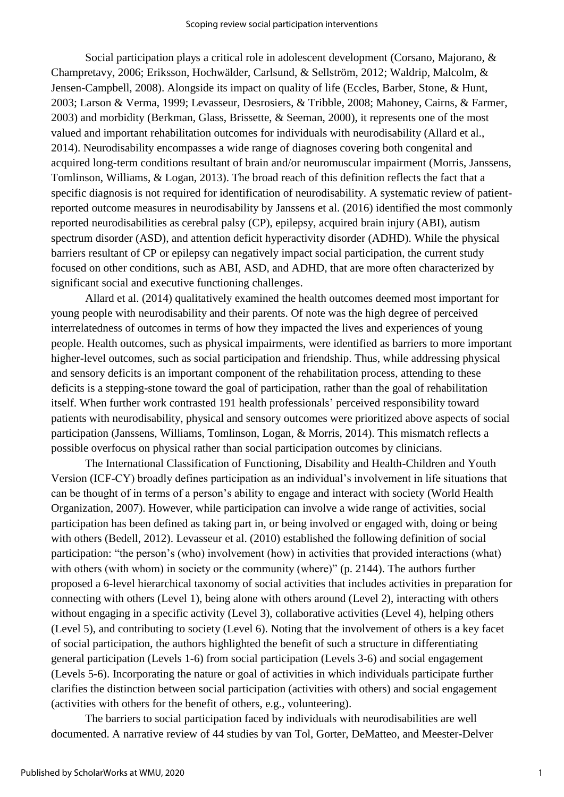Social participation plays a critical role in adolescent development (Corsano, Majorano, & Champretavy, 2006; Eriksson, Hochwälder, Carlsund, & Sellström, 2012; Waldrip, Malcolm, & Jensen-Campbell, 2008). Alongside its impact on quality of life (Eccles, Barber, Stone, & Hunt, 2003; Larson & Verma, 1999; Levasseur, Desrosiers, & Tribble, 2008; Mahoney, Cairns, & Farmer, 2003) and morbidity (Berkman, Glass, Brissette, & Seeman, 2000), it represents one of the most valued and important rehabilitation outcomes for individuals with neurodisability (Allard et al., 2014). Neurodisability encompasses a wide range of diagnoses covering both congenital and acquired long-term conditions resultant of brain and/or neuromuscular impairment (Morris, Janssens, Tomlinson, Williams, & Logan, 2013). The broad reach of this definition reflects the fact that a specific diagnosis is not required for identification of neurodisability. A systematic review of patientreported outcome measures in neurodisability by Janssens et al. (2016) identified the most commonly reported neurodisabilities as cerebral palsy (CP), epilepsy, acquired brain injury (ABI), autism spectrum disorder (ASD), and attention deficit hyperactivity disorder (ADHD). While the physical barriers resultant of CP or epilepsy can negatively impact social participation, the current study focused on other conditions, such as ABI, ASD, and ADHD, that are more often characterized by significant social and executive functioning challenges.

Allard et al. (2014) qualitatively examined the health outcomes deemed most important for young people with neurodisability and their parents. Of note was the high degree of perceived interrelatedness of outcomes in terms of how they impacted the lives and experiences of young people. Health outcomes, such as physical impairments, were identified as barriers to more important higher-level outcomes, such as social participation and friendship. Thus, while addressing physical and sensory deficits is an important component of the rehabilitation process, attending to these deficits is a stepping-stone toward the goal of participation, rather than the goal of rehabilitation itself. When further work contrasted 191 health professionals' perceived responsibility toward patients with neurodisability, physical and sensory outcomes were prioritized above aspects of social participation (Janssens, Williams, Tomlinson, Logan, & Morris, 2014). This mismatch reflects a possible overfocus on physical rather than social participation outcomes by clinicians.

The International Classification of Functioning, Disability and Health-Children and Youth Version (ICF-CY) broadly defines participation as an individual's involvement in life situations that can be thought of in terms of a person's ability to engage and interact with society (World Health Organization, 2007). However, while participation can involve a wide range of activities, social participation has been defined as taking part in, or being involved or engaged with, doing or being with others (Bedell, 2012). Levasseur et al. (2010) established the following definition of social participation: "the person's (who) involvement (how) in activities that provided interactions (what) with others (with whom) in society or the community (where)" (p. 2144). The authors further proposed a 6-level hierarchical taxonomy of social activities that includes activities in preparation for connecting with others (Level 1), being alone with others around (Level 2), interacting with others without engaging in a specific activity (Level 3), collaborative activities (Level 4), helping others (Level 5), and contributing to society (Level 6). Noting that the involvement of others is a key facet of social participation, the authors highlighted the benefit of such a structure in differentiating general participation (Levels 1-6) from social participation (Levels 3-6) and social engagement (Levels 5-6). Incorporating the nature or goal of activities in which individuals participate further clarifies the distinction between social participation (activities with others) and social engagement (activities with others for the benefit of others, e.g., volunteering).

The barriers to social participation faced by individuals with neurodisabilities are well documented. A narrative review of 44 studies by van Tol, Gorter, DeMatteo, and Meester-Delver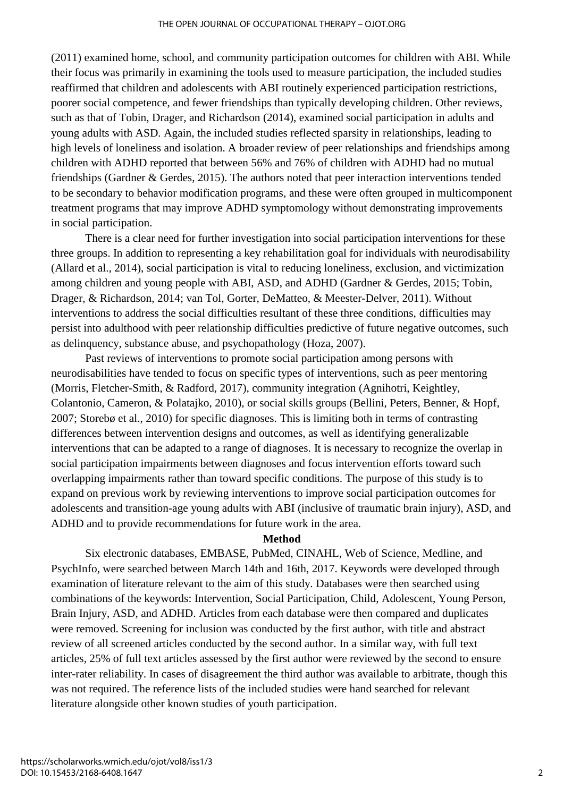(2011) examined home, school, and community participation outcomes for children with ABI. While their focus was primarily in examining the tools used to measure participation, the included studies reaffirmed that children and adolescents with ABI routinely experienced participation restrictions, poorer social competence, and fewer friendships than typically developing children. Other reviews, such as that of Tobin, Drager, and Richardson (2014), examined social participation in adults and young adults with ASD. Again, the included studies reflected sparsity in relationships, leading to high levels of loneliness and isolation. A broader review of peer relationships and friendships among children with ADHD reported that between 56% and 76% of children with ADHD had no mutual friendships (Gardner & Gerdes, 2015). The authors noted that peer interaction interventions tended to be secondary to behavior modification programs, and these were often grouped in multicomponent treatment programs that may improve ADHD symptomology without demonstrating improvements in social participation.

There is a clear need for further investigation into social participation interventions for these three groups. In addition to representing a key rehabilitation goal for individuals with neurodisability (Allard et al., 2014), social participation is vital to reducing loneliness, exclusion, and victimization among children and young people with ABI, ASD, and ADHD (Gardner & Gerdes, 2015; Tobin, Drager, & Richardson, 2014; van Tol, Gorter, DeMatteo, & Meester-Delver, 2011). Without interventions to address the social difficulties resultant of these three conditions, difficulties may persist into adulthood with peer relationship difficulties predictive of future negative outcomes, such as delinquency, substance abuse, and psychopathology (Hoza, 2007).

Past reviews of interventions to promote social participation among persons with neurodisabilities have tended to focus on specific types of interventions, such as peer mentoring (Morris, Fletcher-Smith, & Radford, 2017), community integration (Agnihotri, Keightley, Colantonio, Cameron, & Polatajko, 2010), or social skills groups (Bellini, Peters, Benner, & Hopf, 2007; Storebø et al., 2010) for specific diagnoses. This is limiting both in terms of contrasting differences between intervention designs and outcomes, as well as identifying generalizable interventions that can be adapted to a range of diagnoses. It is necessary to recognize the overlap in social participation impairments between diagnoses and focus intervention efforts toward such overlapping impairments rather than toward specific conditions. The purpose of this study is to expand on previous work by reviewing interventions to improve social participation outcomes for adolescents and transition-age young adults with ABI (inclusive of traumatic brain injury), ASD, and ADHD and to provide recommendations for future work in the area.

#### **Method**

Six electronic databases, EMBASE, PubMed, CINAHL, Web of Science, Medline, and PsychInfo, were searched between March 14th and 16th, 2017. Keywords were developed through examination of literature relevant to the aim of this study. Databases were then searched using combinations of the keywords: Intervention, Social Participation, Child, Adolescent, Young Person, Brain Injury, ASD, and ADHD. Articles from each database were then compared and duplicates were removed. Screening for inclusion was conducted by the first author, with title and abstract review of all screened articles conducted by the second author. In a similar way, with full text articles, 25% of full text articles assessed by the first author were reviewed by the second to ensure inter-rater reliability. In cases of disagreement the third author was available to arbitrate, though this was not required. The reference lists of the included studies were hand searched for relevant literature alongside other known studies of youth participation.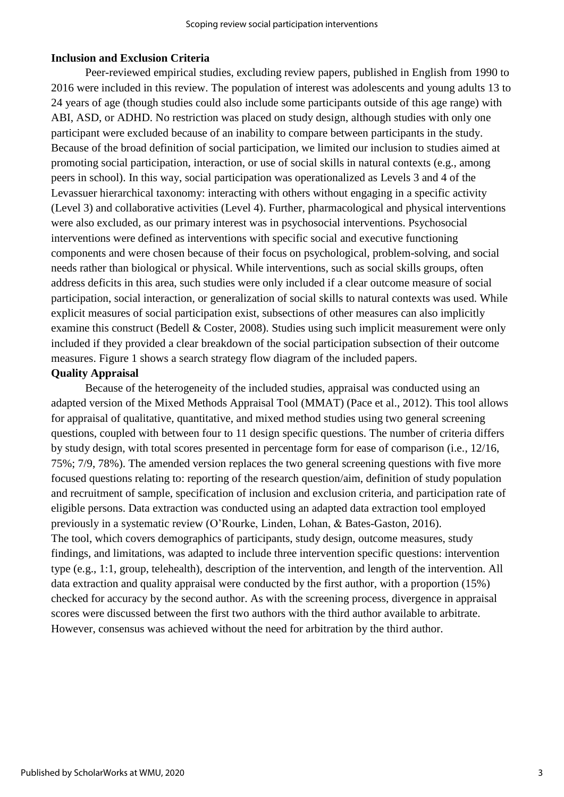#### **Inclusion and Exclusion Criteria**

Peer-reviewed empirical studies, excluding review papers, published in English from 1990 to 2016 were included in this review. The population of interest was adolescents and young adults 13 to 24 years of age (though studies could also include some participants outside of this age range) with ABI, ASD, or ADHD. No restriction was placed on study design, although studies with only one participant were excluded because of an inability to compare between participants in the study. Because of the broad definition of social participation, we limited our inclusion to studies aimed at promoting social participation, interaction, or use of social skills in natural contexts (e.g., among peers in school). In this way, social participation was operationalized as Levels 3 and 4 of the Levassuer hierarchical taxonomy: interacting with others without engaging in a specific activity (Level 3) and collaborative activities (Level 4). Further, pharmacological and physical interventions were also excluded, as our primary interest was in psychosocial interventions. Psychosocial interventions were defined as interventions with specific social and executive functioning components and were chosen because of their focus on psychological, problem-solving, and social needs rather than biological or physical. While interventions, such as social skills groups, often address deficits in this area, such studies were only included if a clear outcome measure of social participation, social interaction, or generalization of social skills to natural contexts was used. While explicit measures of social participation exist, subsections of other measures can also implicitly examine this construct (Bedell & Coster, 2008). Studies using such implicit measurement were only included if they provided a clear breakdown of the social participation subsection of their outcome measures. Figure 1 shows a search strategy flow diagram of the included papers.

#### **Quality Appraisal**

Because of the heterogeneity of the included studies, appraisal was conducted using an adapted version of the Mixed Methods Appraisal Tool (MMAT) (Pace et al., 2012). This tool allows for appraisal of qualitative, quantitative, and mixed method studies using two general screening questions, coupled with between four to 11 design specific questions. The number of criteria differs by study design, with total scores presented in percentage form for ease of comparison (i.e., 12/16, 75%; 7/9, 78%). The amended version replaces the two general screening questions with five more focused questions relating to: reporting of the research question/aim, definition of study population and recruitment of sample, specification of inclusion and exclusion criteria, and participation rate of eligible persons. Data extraction was conducted using an adapted data extraction tool employed previously in a systematic review (O'Rourke, Linden, Lohan, & Bates-Gaston, 2016). The tool, which covers demographics of participants, study design, outcome measures, study findings, and limitations, was adapted to include three intervention specific questions: intervention type (e.g., 1:1, group, telehealth), description of the intervention, and length of the intervention. All data extraction and quality appraisal were conducted by the first author, with a proportion (15%) checked for accuracy by the second author. As with the screening process, divergence in appraisal scores were discussed between the first two authors with the third author available to arbitrate. However, consensus was achieved without the need for arbitration by the third author.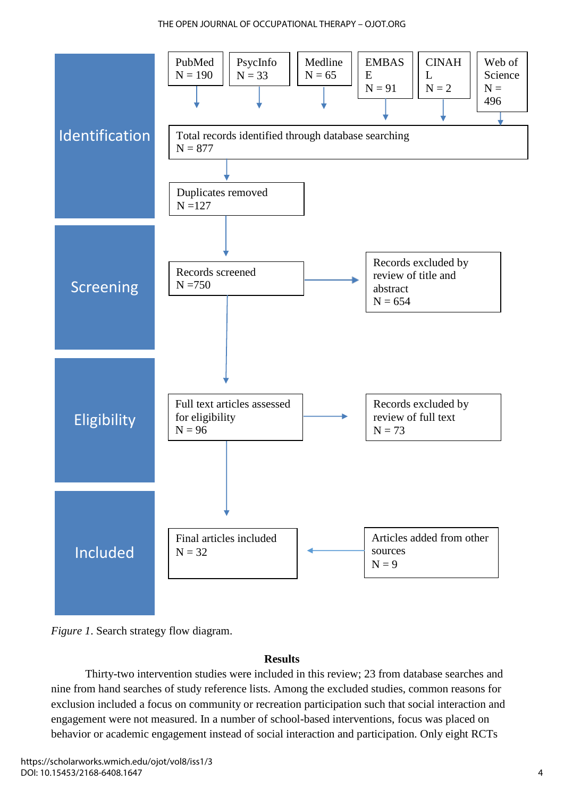#### THE OPEN JOURNAL OF OCCUPATIONAL THERAPY – OJOT.ORG



*Figure 1*. Search strategy flow diagram.

## **Results**

Thirty-two intervention studies were included in this review; 23 from database searches and nine from hand searches of study reference lists. Among the excluded studies, common reasons for exclusion included a focus on community or recreation participation such that social interaction and engagement were not measured. In a number of school-based interventions, focus was placed on behavior or academic engagement instead of social interaction and participation. Only eight RCTs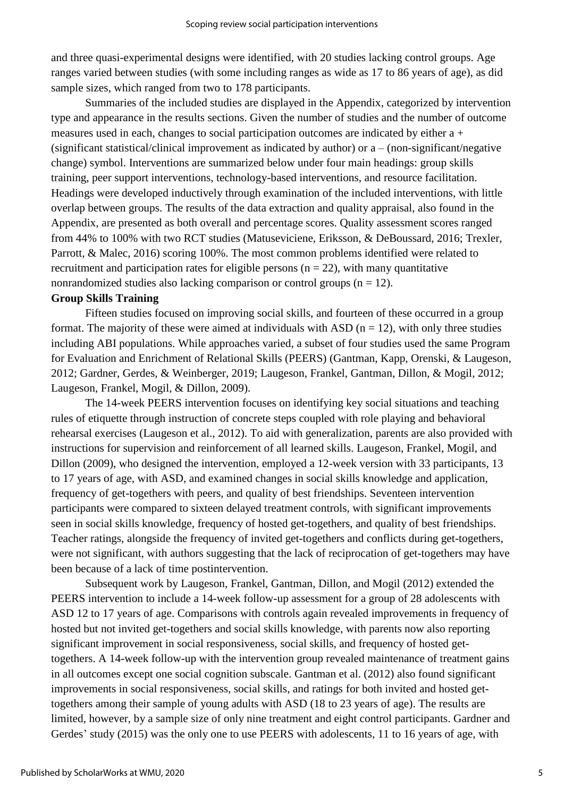and three quasi-experimental designs were identified, with 20 studies lacking control groups. Age ranges varied between studies (with some including ranges as wide as 17 to 86 years of age), as did sample sizes, which ranged from two to 178 participants.

Summaries of the included studies are displayed in the Appendix, categorized by intervention type and appearance in the results sections. Given the number of studies and the number of outcome measures used in each, changes to social participation outcomes are indicated by either a + (significant statistical/clinical improvement as indicated by author) or  $a - (non-significant/negative)$ change) symbol. Interventions are summarized below under four main headings: group skills training, peer support interventions, technology-based interventions, and resource facilitation. Headings were developed inductively through examination of the included interventions, with little overlap between groups. The results of the data extraction and quality appraisal, also found in the Appendix, are presented as both overall and percentage scores. Quality assessment scores ranged from 44% to 100% with two RCT studies (Matuseviciene, Eriksson, & DeBoussard, 2016; Trexler, Parrott, & Malec, 2016) scoring 100%. The most common problems identified were related to recruitment and participation rates for eligible persons ( $n = 22$ ), with many quantitative nonrandomized studies also lacking comparison or control groups  $(n = 12)$ .

## **Group Skills Training**

Fifteen studies focused on improving social skills, and fourteen of these occurred in a group format. The majority of these were aimed at individuals with ASD ( $n = 12$ ), with only three studies including ABI populations. While approaches varied, a subset of four studies used the same Program for Evaluation and Enrichment of Relational Skills (PEERS) (Gantman, Kapp, Orenski, & Laugeson, 2012; Gardner, Gerdes, & Weinberger, 2019; Laugeson, Frankel, Gantman, Dillon, & Mogil, 2012; Laugeson, Frankel, Mogil, & Dillon, 2009).

The 14-week PEERS intervention focuses on identifying key social situations and teaching rules of etiquette through instruction of concrete steps coupled with role playing and behavioral rehearsal exercises (Laugeson et al., 2012). To aid with generalization, parents are also provided with instructions for supervision and reinforcement of all learned skills. Laugeson, Frankel, Mogil, and Dillon (2009), who designed the intervention, employed a 12-week version with 33 participants, 13 to 17 years of age, with ASD, and examined changes in social skills knowledge and application, frequency of get-togethers with peers, and quality of best friendships. Seventeen intervention participants were compared to sixteen delayed treatment controls, with significant improvements seen in social skills knowledge, frequency of hosted get-togethers, and quality of best friendships. Teacher ratings, alongside the frequency of invited get-togethers and conflicts during get-togethers, were not significant, with authors suggesting that the lack of reciprocation of get-togethers may have been because of a lack of time postintervention.

Subsequent work by Laugeson, Frankel, Gantman, Dillon, and Mogil (2012) extended the PEERS intervention to include a 14-week follow-up assessment for a group of 28 adolescents with ASD 12 to 17 years of age. Comparisons with controls again revealed improvements in frequency of hosted but not invited get-togethers and social skills knowledge, with parents now also reporting significant improvement in social responsiveness, social skills, and frequency of hosted gettogethers. A 14-week follow-up with the intervention group revealed maintenance of treatment gains in all outcomes except one social cognition subscale. Gantman et al. (2012) also found significant improvements in social responsiveness, social skills, and ratings for both invited and hosted gettogethers among their sample of young adults with ASD (18 to 23 years of age). The results are limited, however, by a sample size of only nine treatment and eight control participants. Gardner and Gerdes' study (2015) was the only one to use PEERS with adolescents, 11 to 16 years of age, with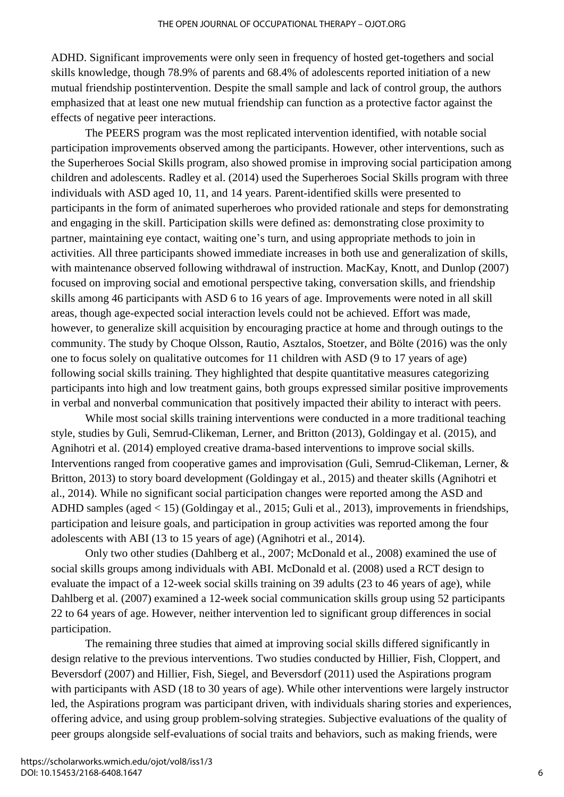ADHD. Significant improvements were only seen in frequency of hosted get-togethers and social skills knowledge, though 78.9% of parents and 68.4% of adolescents reported initiation of a new mutual friendship postintervention. Despite the small sample and lack of control group, the authors emphasized that at least one new mutual friendship can function as a protective factor against the effects of negative peer interactions.

The PEERS program was the most replicated intervention identified, with notable social participation improvements observed among the participants. However, other interventions, such as the Superheroes Social Skills program, also showed promise in improving social participation among children and adolescents. Radley et al. (2014) used the Superheroes Social Skills program with three individuals with ASD aged 10, 11, and 14 years. Parent-identified skills were presented to participants in the form of animated superheroes who provided rationale and steps for demonstrating and engaging in the skill. Participation skills were defined as: demonstrating close proximity to partner, maintaining eye contact, waiting one's turn, and using appropriate methods to join in activities. All three participants showed immediate increases in both use and generalization of skills, with maintenance observed following withdrawal of instruction. MacKay, Knott, and Dunlop (2007) focused on improving social and emotional perspective taking, conversation skills, and friendship skills among 46 participants with ASD 6 to 16 years of age. Improvements were noted in all skill areas, though age-expected social interaction levels could not be achieved. Effort was made, however, to generalize skill acquisition by encouraging practice at home and through outings to the community. The study by Choque Olsson, Rautio, Asztalos, Stoetzer, and Bölte (2016) was the only one to focus solely on qualitative outcomes for 11 children with ASD (9 to 17 years of age) following social skills training. They highlighted that despite quantitative measures categorizing participants into high and low treatment gains, both groups expressed similar positive improvements in verbal and nonverbal communication that positively impacted their ability to interact with peers.

While most social skills training interventions were conducted in a more traditional teaching style, studies by Guli, Semrud-Clikeman, Lerner, and Britton (2013), Goldingay et al. (2015), and Agnihotri et al. (2014) employed creative drama-based interventions to improve social skills. Interventions ranged from cooperative games and improvisation (Guli, Semrud-Clikeman, Lerner, & Britton, 2013) to story board development (Goldingay et al., 2015) and theater skills (Agnihotri et al., 2014). While no significant social participation changes were reported among the ASD and ADHD samples (aged < 15) (Goldingay et al., 2015; Guli et al., 2013), improvements in friendships, participation and leisure goals, and participation in group activities was reported among the four adolescents with ABI (13 to 15 years of age) (Agnihotri et al., 2014).

Only two other studies (Dahlberg et al., 2007; McDonald et al., 2008) examined the use of social skills groups among individuals with ABI. McDonald et al. (2008) used a RCT design to evaluate the impact of a 12-week social skills training on 39 adults (23 to 46 years of age), while Dahlberg et al. (2007) examined a 12-week social communication skills group using 52 participants 22 to 64 years of age. However, neither intervention led to significant group differences in social participation.

The remaining three studies that aimed at improving social skills differed significantly in design relative to the previous interventions. Two studies conducted by Hillier, Fish, Cloppert, and Beversdorf (2007) and Hillier, Fish, Siegel, and Beversdorf (2011) used the Aspirations program with participants with ASD (18 to 30 years of age). While other interventions were largely instructor led, the Aspirations program was participant driven, with individuals sharing stories and experiences, offering advice, and using group problem-solving strategies. Subjective evaluations of the quality of peer groups alongside self-evaluations of social traits and behaviors, such as making friends, were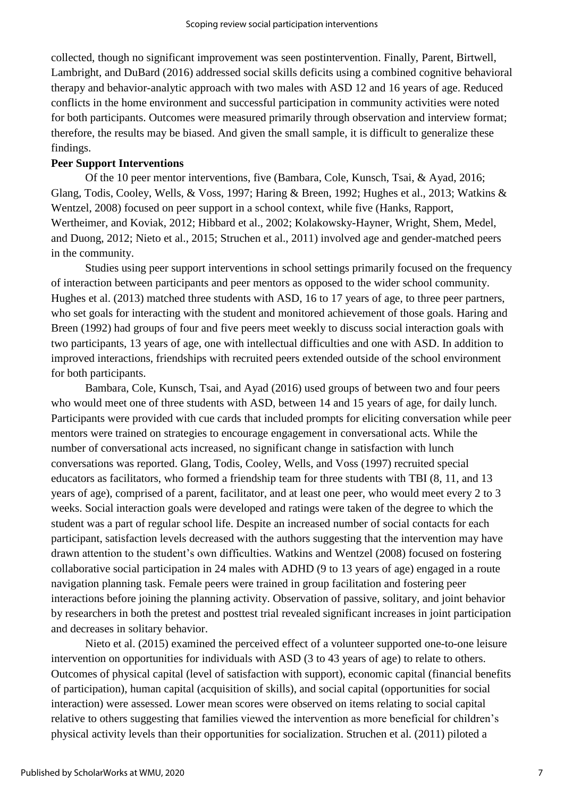collected, though no significant improvement was seen postintervention. Finally, Parent, Birtwell, Lambright, and DuBard (2016) addressed social skills deficits using a combined cognitive behavioral therapy and behavior-analytic approach with two males with ASD 12 and 16 years of age. Reduced conflicts in the home environment and successful participation in community activities were noted for both participants. Outcomes were measured primarily through observation and interview format; therefore, the results may be biased. And given the small sample, it is difficult to generalize these findings.

## **Peer Support Interventions**

Of the 10 peer mentor interventions, five (Bambara, Cole, Kunsch, Tsai, & Ayad, 2016; Glang, Todis, Cooley, Wells, & Voss, 1997; Haring & Breen, 1992; Hughes et al., 2013; Watkins & Wentzel, 2008) focused on peer support in a school context, while five (Hanks, Rapport, Wertheimer, and Koviak, 2012; Hibbard et al., 2002; Kolakowsky-Hayner, Wright, Shem, Medel, and Duong, 2012; Nieto et al., 2015; Struchen et al., 2011) involved age and gender-matched peers in the community.

Studies using peer support interventions in school settings primarily focused on the frequency of interaction between participants and peer mentors as opposed to the wider school community. Hughes et al. (2013) matched three students with ASD, 16 to 17 years of age, to three peer partners, who set goals for interacting with the student and monitored achievement of those goals. Haring and Breen (1992) had groups of four and five peers meet weekly to discuss social interaction goals with two participants, 13 years of age, one with intellectual difficulties and one with ASD. In addition to improved interactions, friendships with recruited peers extended outside of the school environment for both participants.

Bambara, Cole, Kunsch, Tsai, and Ayad (2016) used groups of between two and four peers who would meet one of three students with ASD, between 14 and 15 years of age, for daily lunch. Participants were provided with cue cards that included prompts for eliciting conversation while peer mentors were trained on strategies to encourage engagement in conversational acts. While the number of conversational acts increased, no significant change in satisfaction with lunch conversations was reported. Glang, Todis, Cooley, Wells, and Voss (1997) recruited special educators as facilitators, who formed a friendship team for three students with TBI (8, 11, and 13 years of age), comprised of a parent, facilitator, and at least one peer, who would meet every 2 to 3 weeks. Social interaction goals were developed and ratings were taken of the degree to which the student was a part of regular school life. Despite an increased number of social contacts for each participant, satisfaction levels decreased with the authors suggesting that the intervention may have drawn attention to the student's own difficulties. Watkins and Wentzel (2008) focused on fostering collaborative social participation in 24 males with ADHD (9 to 13 years of age) engaged in a route navigation planning task. Female peers were trained in group facilitation and fostering peer interactions before joining the planning activity. Observation of passive, solitary, and joint behavior by researchers in both the pretest and posttest trial revealed significant increases in joint participation and decreases in solitary behavior.

Nieto et al. (2015) examined the perceived effect of a volunteer supported one-to-one leisure intervention on opportunities for individuals with ASD (3 to 43 years of age) to relate to others. Outcomes of physical capital (level of satisfaction with support), economic capital (financial benefits of participation), human capital (acquisition of skills), and social capital (opportunities for social interaction) were assessed. Lower mean scores were observed on items relating to social capital relative to others suggesting that families viewed the intervention as more beneficial for children's physical activity levels than their opportunities for socialization. Struchen et al. (2011) piloted a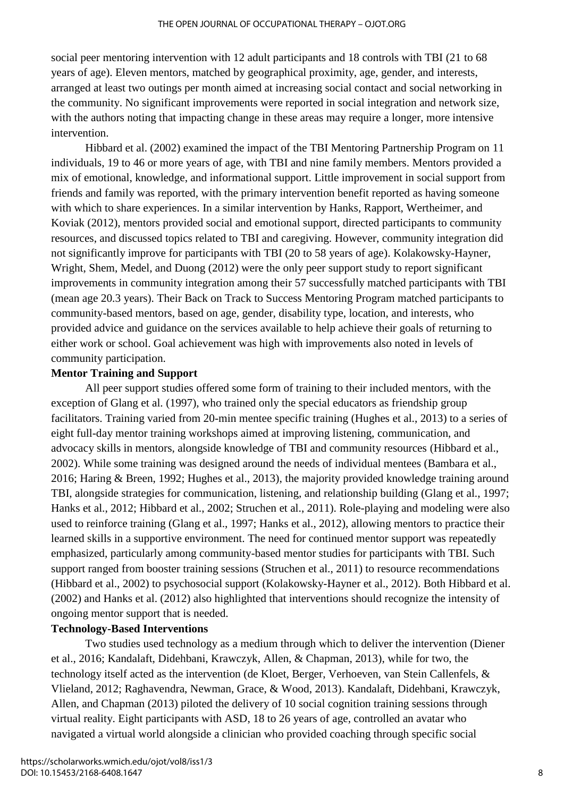social peer mentoring intervention with 12 adult participants and 18 controls with TBI (21 to 68 years of age). Eleven mentors, matched by geographical proximity, age, gender, and interests, arranged at least two outings per month aimed at increasing social contact and social networking in the community. No significant improvements were reported in social integration and network size, with the authors noting that impacting change in these areas may require a longer, more intensive intervention.

Hibbard et al. (2002) examined the impact of the TBI Mentoring Partnership Program on 11 individuals, 19 to 46 or more years of age, with TBI and nine family members. Mentors provided a mix of emotional, knowledge, and informational support. Little improvement in social support from friends and family was reported, with the primary intervention benefit reported as having someone with which to share experiences. In a similar intervention by Hanks, Rapport, Wertheimer, and Koviak (2012), mentors provided social and emotional support, directed participants to community resources, and discussed topics related to TBI and caregiving. However, community integration did not significantly improve for participants with TBI (20 to 58 years of age). Kolakowsky-Hayner, Wright, Shem, Medel, and Duong (2012) were the only peer support study to report significant improvements in community integration among their 57 successfully matched participants with TBI (mean age 20.3 years). Their Back on Track to Success Mentoring Program matched participants to community-based mentors, based on age, gender, disability type, location, and interests, who provided advice and guidance on the services available to help achieve their goals of returning to either work or school. Goal achievement was high with improvements also noted in levels of community participation.

## **Mentor Training and Support**

All peer support studies offered some form of training to their included mentors, with the exception of Glang et al. (1997), who trained only the special educators as friendship group facilitators. Training varied from 20-min mentee specific training (Hughes et al., 2013) to a series of eight full-day mentor training workshops aimed at improving listening, communication, and advocacy skills in mentors, alongside knowledge of TBI and community resources (Hibbard et al., 2002). While some training was designed around the needs of individual mentees (Bambara et al., 2016; Haring & Breen, 1992; Hughes et al., 2013), the majority provided knowledge training around TBI, alongside strategies for communication, listening, and relationship building (Glang et al., 1997; Hanks et al., 2012; Hibbard et al., 2002; Struchen et al., 2011). Role-playing and modeling were also used to reinforce training (Glang et al., 1997; Hanks et al., 2012), allowing mentors to practice their learned skills in a supportive environment. The need for continued mentor support was repeatedly emphasized, particularly among community-based mentor studies for participants with TBI. Such support ranged from booster training sessions (Struchen et al., 2011) to resource recommendations (Hibbard et al., 2002) to psychosocial support (Kolakowsky-Hayner et al., 2012). Both Hibbard et al. (2002) and Hanks et al. (2012) also highlighted that interventions should recognize the intensity of ongoing mentor support that is needed.

## **Technology-Based Interventions**

Two studies used technology as a medium through which to deliver the intervention (Diener et al., 2016; Kandalaft, Didehbani, Krawczyk, Allen, & Chapman, 2013), while for two, the technology itself acted as the intervention (de Kloet, Berger, Verhoeven, van Stein Callenfels, & Vlieland, 2012; Raghavendra, Newman, Grace, & Wood, 2013). Kandalaft, Didehbani, Krawczyk, Allen, and Chapman (2013) piloted the delivery of 10 social cognition training sessions through virtual reality. Eight participants with ASD, 18 to 26 years of age, controlled an avatar who navigated a virtual world alongside a clinician who provided coaching through specific social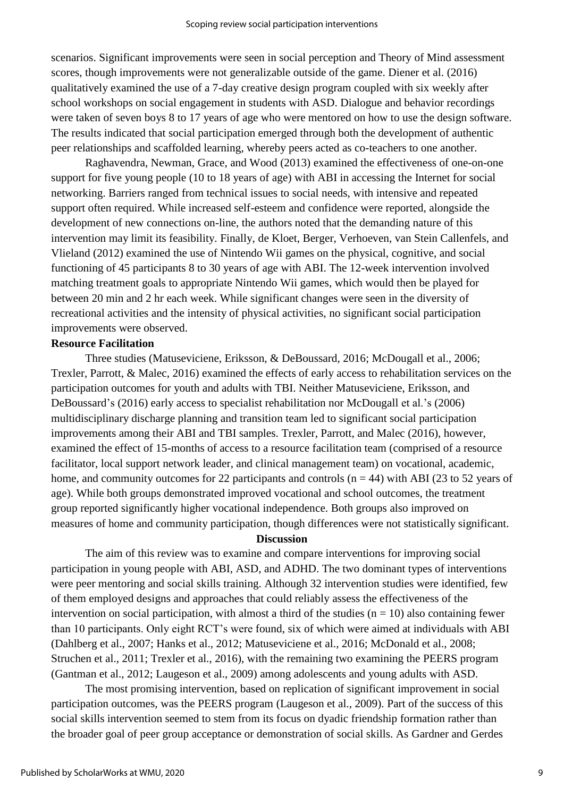scenarios. Significant improvements were seen in social perception and Theory of Mind assessment scores, though improvements were not generalizable outside of the game. Diener et al. (2016) qualitatively examined the use of a 7-day creative design program coupled with six weekly after school workshops on social engagement in students with ASD. Dialogue and behavior recordings were taken of seven boys 8 to 17 years of age who were mentored on how to use the design software. The results indicated that social participation emerged through both the development of authentic peer relationships and scaffolded learning, whereby peers acted as co-teachers to one another.

Raghavendra, Newman, Grace, and Wood (2013) examined the effectiveness of one-on-one support for five young people (10 to 18 years of age) with ABI in accessing the Internet for social networking. Barriers ranged from technical issues to social needs, with intensive and repeated support often required. While increased self-esteem and confidence were reported, alongside the development of new connections on-line, the authors noted that the demanding nature of this intervention may limit its feasibility. Finally, de Kloet, Berger, Verhoeven, van Stein Callenfels, and Vlieland (2012) examined the use of Nintendo Wii games on the physical, cognitive, and social functioning of 45 participants 8 to 30 years of age with ABI. The 12-week intervention involved matching treatment goals to appropriate Nintendo Wii games, which would then be played for between 20 min and 2 hr each week. While significant changes were seen in the diversity of recreational activities and the intensity of physical activities, no significant social participation improvements were observed.

#### **Resource Facilitation**

Three studies (Matuseviciene, Eriksson, & DeBoussard, 2016; McDougall et al., 2006; Trexler, Parrott, & Malec, 2016) examined the effects of early access to rehabilitation services on the participation outcomes for youth and adults with TBI. Neither Matuseviciene, Eriksson, and DeBoussard's (2016) early access to specialist rehabilitation nor McDougall et al.'s (2006) multidisciplinary discharge planning and transition team led to significant social participation improvements among their ABI and TBI samples. Trexler, Parrott, and Malec (2016), however, examined the effect of 15-months of access to a resource facilitation team (comprised of a resource facilitator, local support network leader, and clinical management team) on vocational, academic, home, and community outcomes for 22 participants and controls  $(n = 44)$  with ABI (23 to 52 years of age). While both groups demonstrated improved vocational and school outcomes, the treatment group reported significantly higher vocational independence. Both groups also improved on measures of home and community participation, though differences were not statistically significant.

### **Discussion**

The aim of this review was to examine and compare interventions for improving social participation in young people with ABI, ASD, and ADHD. The two dominant types of interventions were peer mentoring and social skills training. Although 32 intervention studies were identified, few of them employed designs and approaches that could reliably assess the effectiveness of the intervention on social participation, with almost a third of the studies  $(n = 10)$  also containing fewer than 10 participants. Only eight RCT's were found, six of which were aimed at individuals with ABI (Dahlberg et al., 2007; Hanks et al., 2012; Matuseviciene et al., 2016; McDonald et al., 2008; Struchen et al., 2011; Trexler et al., 2016), with the remaining two examining the PEERS program (Gantman et al., 2012; Laugeson et al., 2009) among adolescents and young adults with ASD.

The most promising intervention, based on replication of significant improvement in social participation outcomes, was the PEERS program (Laugeson et al., 2009). Part of the success of this social skills intervention seemed to stem from its focus on dyadic friendship formation rather than the broader goal of peer group acceptance or demonstration of social skills. As Gardner and Gerdes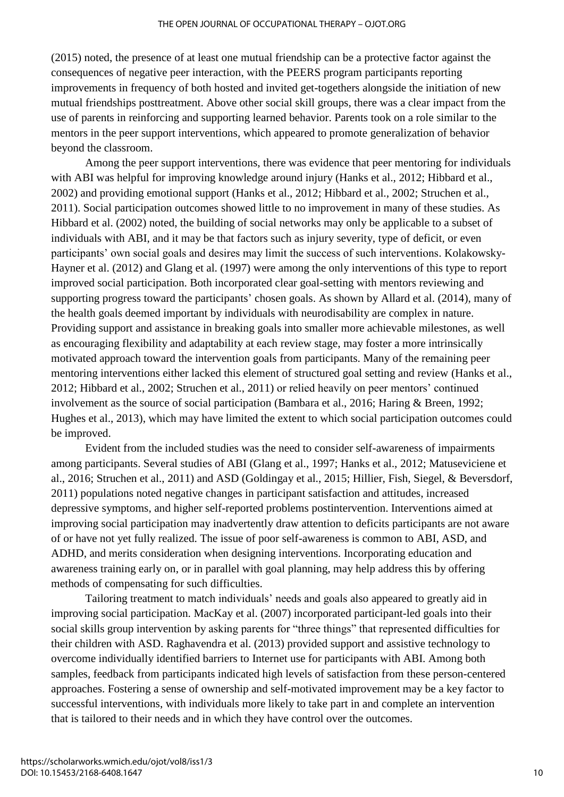(2015) noted, the presence of at least one mutual friendship can be a protective factor against the consequences of negative peer interaction, with the PEERS program participants reporting improvements in frequency of both hosted and invited get-togethers alongside the initiation of new mutual friendships posttreatment. Above other social skill groups, there was a clear impact from the use of parents in reinforcing and supporting learned behavior. Parents took on a role similar to the mentors in the peer support interventions, which appeared to promote generalization of behavior beyond the classroom.

Among the peer support interventions, there was evidence that peer mentoring for individuals with ABI was helpful for improving knowledge around injury (Hanks et al., 2012; Hibbard et al., 2002) and providing emotional support (Hanks et al., 2012; Hibbard et al., 2002; Struchen et al., 2011). Social participation outcomes showed little to no improvement in many of these studies. As Hibbard et al. (2002) noted, the building of social networks may only be applicable to a subset of individuals with ABI, and it may be that factors such as injury severity, type of deficit, or even participants' own social goals and desires may limit the success of such interventions. Kolakowsky-Hayner et al. (2012) and Glang et al. (1997) were among the only interventions of this type to report improved social participation. Both incorporated clear goal-setting with mentors reviewing and supporting progress toward the participants' chosen goals. As shown by Allard et al. (2014), many of the health goals deemed important by individuals with neurodisability are complex in nature. Providing support and assistance in breaking goals into smaller more achievable milestones, as well as encouraging flexibility and adaptability at each review stage, may foster a more intrinsically motivated approach toward the intervention goals from participants. Many of the remaining peer mentoring interventions either lacked this element of structured goal setting and review (Hanks et al., 2012; Hibbard et al., 2002; Struchen et al., 2011) or relied heavily on peer mentors' continued involvement as the source of social participation (Bambara et al., 2016; Haring & Breen, 1992; Hughes et al., 2013), which may have limited the extent to which social participation outcomes could be improved.

Evident from the included studies was the need to consider self-awareness of impairments among participants. Several studies of ABI (Glang et al., 1997; Hanks et al., 2012; Matuseviciene et al., 2016; Struchen et al., 2011) and ASD (Goldingay et al., 2015; Hillier, Fish, Siegel, & Beversdorf, 2011) populations noted negative changes in participant satisfaction and attitudes, increased depressive symptoms, and higher self-reported problems postintervention. Interventions aimed at improving social participation may inadvertently draw attention to deficits participants are not aware of or have not yet fully realized. The issue of poor self-awareness is common to ABI, ASD, and ADHD, and merits consideration when designing interventions. Incorporating education and awareness training early on, or in parallel with goal planning, may help address this by offering methods of compensating for such difficulties.

Tailoring treatment to match individuals' needs and goals also appeared to greatly aid in improving social participation. MacKay et al. (2007) incorporated participant-led goals into their social skills group intervention by asking parents for "three things" that represented difficulties for their children with ASD. Raghavendra et al. (2013) provided support and assistive technology to overcome individually identified barriers to Internet use for participants with ABI. Among both samples, feedback from participants indicated high levels of satisfaction from these person-centered approaches. Fostering a sense of ownership and self-motivated improvement may be a key factor to successful interventions, with individuals more likely to take part in and complete an intervention that is tailored to their needs and in which they have control over the outcomes.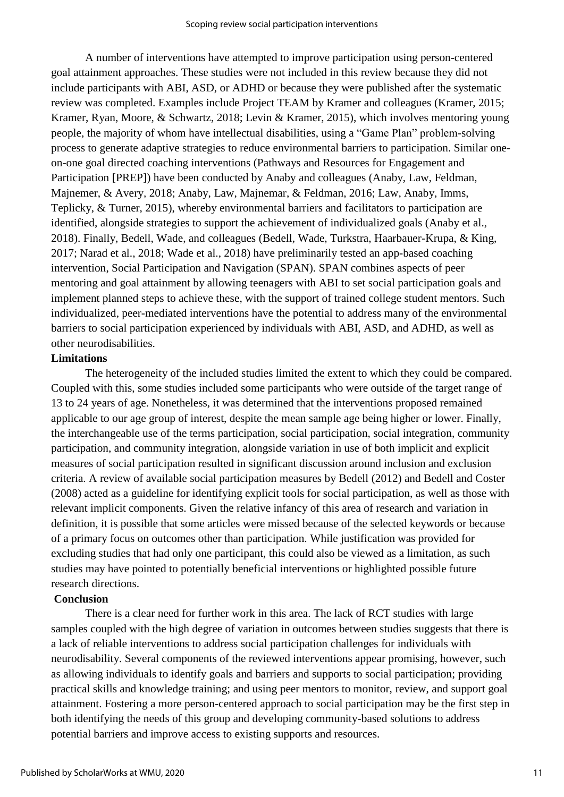A number of interventions have attempted to improve participation using person-centered goal attainment approaches. These studies were not included in this review because they did not include participants with ABI, ASD, or ADHD or because they were published after the systematic review was completed. Examples include Project TEAM by Kramer and colleagues (Kramer, 2015; Kramer, Ryan, Moore, & Schwartz, 2018; Levin & Kramer, 2015), which involves mentoring young people, the majority of whom have intellectual disabilities, using a "Game Plan" problem-solving process to generate adaptive strategies to reduce environmental barriers to participation. Similar oneon-one goal directed coaching interventions (Pathways and Resources for Engagement and Participation [PREP]) have been conducted by Anaby and colleagues (Anaby, Law, Feldman, Majnemer, & Avery, 2018; Anaby, Law, Majnemar, & Feldman, 2016; Law, Anaby, Imms, Teplicky, & Turner, 2015), whereby environmental barriers and facilitators to participation are identified, alongside strategies to support the achievement of individualized goals (Anaby et al., 2018). Finally, Bedell, Wade, and colleagues (Bedell, Wade, Turkstra, Haarbauer-Krupa, & King, 2017; Narad et al., 2018; Wade et al., 2018) have preliminarily tested an app-based coaching intervention, Social Participation and Navigation (SPAN). SPAN combines aspects of peer mentoring and goal attainment by allowing teenagers with ABI to set social participation goals and implement planned steps to achieve these, with the support of trained college student mentors. Such individualized, peer-mediated interventions have the potential to address many of the environmental barriers to social participation experienced by individuals with ABI, ASD, and ADHD, as well as other neurodisabilities.

#### **Limitations**

The heterogeneity of the included studies limited the extent to which they could be compared. Coupled with this, some studies included some participants who were outside of the target range of 13 to 24 years of age. Nonetheless, it was determined that the interventions proposed remained applicable to our age group of interest, despite the mean sample age being higher or lower. Finally, the interchangeable use of the terms participation, social participation, social integration, community participation, and community integration, alongside variation in use of both implicit and explicit measures of social participation resulted in significant discussion around inclusion and exclusion criteria. A review of available social participation measures by Bedell (2012) and Bedell and Coster (2008) acted as a guideline for identifying explicit tools for social participation, as well as those with relevant implicit components. Given the relative infancy of this area of research and variation in definition, it is possible that some articles were missed because of the selected keywords or because of a primary focus on outcomes other than participation. While justification was provided for excluding studies that had only one participant, this could also be viewed as a limitation, as such studies may have pointed to potentially beneficial interventions or highlighted possible future research directions.

### **Conclusion**

There is a clear need for further work in this area. The lack of RCT studies with large samples coupled with the high degree of variation in outcomes between studies suggests that there is a lack of reliable interventions to address social participation challenges for individuals with neurodisability. Several components of the reviewed interventions appear promising, however, such as allowing individuals to identify goals and barriers and supports to social participation; providing practical skills and knowledge training; and using peer mentors to monitor, review, and support goal attainment. Fostering a more person-centered approach to social participation may be the first step in both identifying the needs of this group and developing community-based solutions to address potential barriers and improve access to existing supports and resources.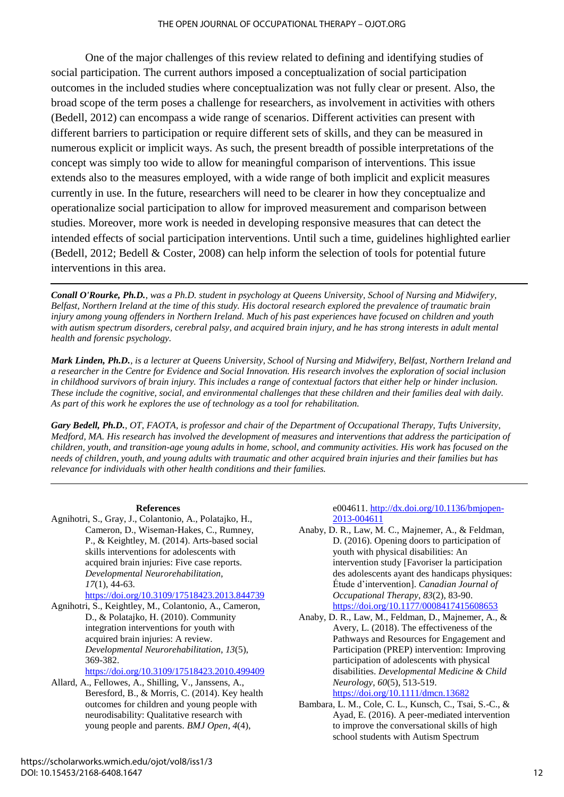One of the major challenges of this review related to defining and identifying studies of social participation. The current authors imposed a conceptualization of social participation outcomes in the included studies where conceptualization was not fully clear or present. Also, the broad scope of the term poses a challenge for researchers, as involvement in activities with others (Bedell, 2012) can encompass a wide range of scenarios. Different activities can present with different barriers to participation or require different sets of skills, and they can be measured in numerous explicit or implicit ways. As such, the present breadth of possible interpretations of the concept was simply too wide to allow for meaningful comparison of interventions. This issue extends also to the measures employed, with a wide range of both implicit and explicit measures currently in use. In the future, researchers will need to be clearer in how they conceptualize and operationalize social participation to allow for improved measurement and comparison between studies. Moreover, more work is needed in developing responsive measures that can detect the intended effects of social participation interventions. Until such a time, guidelines highlighted earlier (Bedell, 2012; Bedell & Coster, 2008) can help inform the selection of tools for potential future interventions in this area.

*Conall O'Rourke, Ph.D., was a Ph.D. student in psychology at Queens University, School of Nursing and Midwifery, Belfast, Northern Ireland at the time of this study. His doctoral research explored the prevalence of traumatic brain injury among young offenders in Northern Ireland. Much of his past experiences have focused on children and youth with autism spectrum disorders, cerebral palsy, and acquired brain injury, and he has strong interests in adult mental health and forensic psychology.*

*Mark Linden, Ph.D., is a lecturer at Queens University, School of Nursing and Midwifery, Belfast, Northern Ireland and a researcher in the Centre for Evidence and Social Innovation. His research involves the exploration of social inclusion in childhood survivors of brain injury. This includes a range of contextual factors that either help or hinder inclusion. These include the cognitive, social, and environmental challenges that these children and their families deal with daily. As part of this work he explores the use of technology as a tool for rehabilitation.*

*Gary Bedell, Ph.D., OT, FAOTA, is professor and chair of the Department of Occupational Therapy, Tufts University, Medford, MA. His research has involved the development of measures and interventions that address the participation of children, youth, and transition-age young adults in home, school, and community activities. His work has focused on the needs of children, youth, and young adults with traumatic and other acquired brain injuries and their families but has relevance for individuals with other health conditions and their families.*

#### **References**

- Agnihotri, S., Gray, J., Colantonio, A., Polatajko, H., Cameron, D., Wiseman-Hakes, C., Rumney, P., & Keightley, M. (2014). Arts-based social skills interventions for adolescents with acquired brain injuries: Five case reports. *Developmental Neurorehabilitation*, *17*(1), 44-63. <https://doi.org/10.3109/17518423.2013.844739>
- Agnihotri, S., Keightley, M., Colantonio, A., Cameron, D., & Polatajko, H. (2010). Community integration interventions for youth with acquired brain injuries: A review. *Developmental Neurorehabilitation*, *13*(5), 369-382.

<https://doi.org/10.3109/17518423.2010.499409>

Allard, A., Fellowes, A., Shilling, V., Janssens, A., Beresford, B., & Morris, C. (2014). Key health outcomes for children and young people with neurodisability: Qualitative research with young people and parents. *BMJ Open*, *4*(4),

e004611. [http://dx.doi.org/10.1136/bmjopen-](http://dx.doi.org/10.1136/bmjopen-2013-004611)[2013-004611](http://dx.doi.org/10.1136/bmjopen-2013-004611)

- Anaby, D. R., Law, M. C., Majnemer, A., & Feldman, D. (2016). Opening doors to participation of youth with physical disabilities: An intervention study [Favoriser la participation des adolescents ayant des handicaps physiques: Étude d'intervention]. *Canadian Journal of Occupational Therapy*, *83*(2), 83-90. <https://doi.org/10.1177/0008417415608653>
- Anaby, D. R., Law, M., Feldman, D., Majnemer, A., & Avery, L. (2018). The effectiveness of the Pathways and Resources for Engagement and Participation (PREP) intervention: Improving participation of adolescents with physical disabilities. *Developmental Medicine & Child Neurology*, *60*(5), 513-519. <https://doi.org/10.1111/dmcn.13682>
- Bambara, L. M., Cole, C. L., Kunsch, C., Tsai, S.-C., & Ayad, E. (2016). A peer-mediated intervention to improve the conversational skills of high school students with Autism Spectrum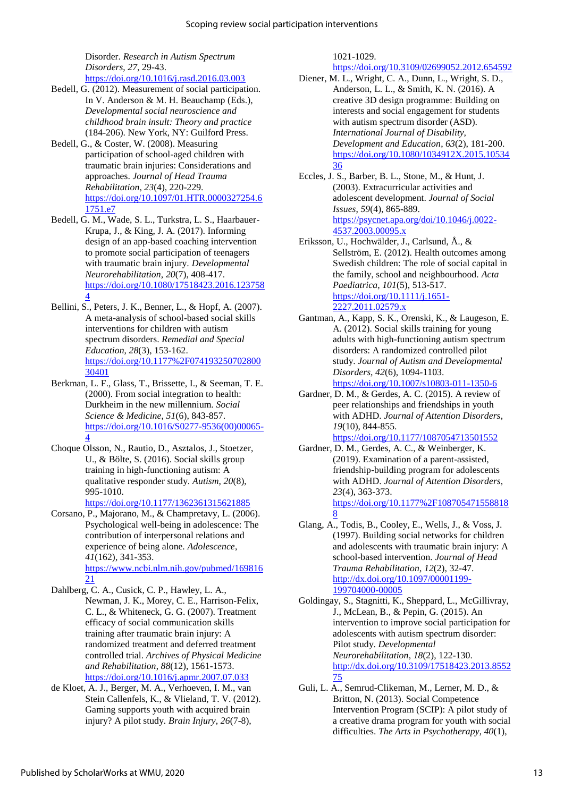Disorder. *Research in Autism Spectrum Disorders*, *27*, 29-43. <https://doi.org/10.1016/j.rasd.2016.03.003>

- Bedell, G. (2012). Measurement of social participation. In V. Anderson & M. H. Beauchamp (Eds.), *Developmental social neuroscience and childhood brain insult: Theory and practice* (184-206). New York, NY: Guilford Press.
- Bedell, G., & Coster, W. (2008). Measuring participation of school-aged children with traumatic brain injuries: Considerations and approaches. *Journal of Head Trauma Rehabilitation*, *23*(4), 220-229. [https://doi.org/10.1097/01.HTR.0000327254.6](https://doi.org/10.1097/01.HTR.0000327254.61751.e7) [1751.e7](https://doi.org/10.1097/01.HTR.0000327254.61751.e7)
- Bedell, G. M., Wade, S. L., Turkstra, L. S., Haarbauer-Krupa, J., & King, J. A. (2017). Informing design of an app-based coaching intervention to promote social participation of teenagers with traumatic brain injury. *Developmental Neurorehabilitation*, *20*(7), 408-417. [https://doi.org/10.1080/17518423.2016.123758](https://doi.org/10.1080/17518423.2016.1237584)  $\Delta$
- Bellini, S., Peters, J. K., Benner, L., & Hopf, A. (2007). A meta-analysis of school-based social skills interventions for children with autism spectrum disorders. *Remedial and Special Education*, *28*(3), 153-162. [https://doi.org/10.1177%2F074193250702800](https://doi.org/10.1177%2F07419325070280030401) [30401](https://doi.org/10.1177%2F07419325070280030401)
- Berkman, L. F., Glass, T., Brissette, I., & Seeman, T. E. (2000). From social integration to health: Durkheim in the new millennium. *Social Science & Medicine*, *51*(6), 843-857. [https://doi.org/10.1016/S0277-9536\(00\)00065-](https://doi.org/10.1016/S0277-9536(00)00065-4) [4](https://doi.org/10.1016/S0277-9536(00)00065-4)
- Choque Olsson, N., Rautio, D., Asztalos, J., Stoetzer, U., & Bölte, S. (2016). Social skills group training in high-functioning autism: A qualitative responder study. *Autism*, *20*(8), 995-1010.

[https://doi.org/10.1177/1362361315621885](https://doi.org/10.1177%2F1362361315621885)

- Corsano, P., Majorano, M., & Champretavy, L. (2006). Psychological well-being in adolescence: The contribution of interpersonal relations and experience of being alone. *Adolescence*, *41*(162), 341-353. [https://www.ncbi.nlm.nih.gov/pubmed/169816](https://www.ncbi.nlm.nih.gov/pubmed/16981621) [21](https://www.ncbi.nlm.nih.gov/pubmed/16981621)
- Dahlberg, C. A., Cusick, C. P., Hawley, L. A., Newman, J. K., Morey, C. E., Harrison-Felix, C. L., & Whiteneck, G. G. (2007). Treatment efficacy of social communication skills training after traumatic brain injury: A randomized treatment and deferred treatment controlled trial. *Archives of Physical Medicine and Rehabilitation*, *88*(12), 1561-1573. <https://doi.org/10.1016/j.apmr.2007.07.033>
- de Kloet, A. J., Berger, M. A., Verhoeven, I. M., van Stein Callenfels, K., & Vlieland, T. V. (2012). Gaming supports youth with acquired brain injury? A pilot study. *Brain Injury*, *26*(7-8),

1021-1029.

<https://doi.org/10.3109/02699052.2012.654592>

- Diener, M. L., Wright, C. A., Dunn, L., Wright, S. D., Anderson, L. L., & Smith, K. N. (2016). A creative 3D design programme: Building on interests and social engagement for students with autism spectrum disorder (ASD). *International Journal of Disability, Development and Education*, *63*(2), 181-200. [https://doi.org/10.1080/1034912X.2015.10534](https://doi.org/10.1080/1034912X.2015.1053436) [36](https://doi.org/10.1080/1034912X.2015.1053436)
- Eccles, J. S., Barber, B. L., Stone, M., & Hunt, J. (2003). Extracurricular activities and adolescent development. *Journal of Social Issues*, *59*(4), 865-889. [https://psycnet.apa.org/doi/10.1046/j.0022-](https://psycnet.apa.org/doi/10.1046/j.0022-4537.2003.00095.x) [4537.2003.00095.x](https://psycnet.apa.org/doi/10.1046/j.0022-4537.2003.00095.x)
- Eriksson, U., Hochwälder, J., Carlsund, Å., & Sellström, E. (2012). Health outcomes among Swedish children: The role of social capital in the family, school and neighbourhood. *Acta Paediatrica*, *101*(5), 513-517. [https://doi.org/10.1111/j.1651-](https://doi.org/10.1111/j.1651-2227.2011.02579.x) [2227.2011.02579.x](https://doi.org/10.1111/j.1651-2227.2011.02579.x)
- Gantman, A., Kapp, S. K., Orenski, K., & Laugeson, E. A. (2012). Social skills training for young adults with high-functioning autism spectrum disorders: A randomized controlled pilot study. *Journal of Autism and Developmental Disorders*, *42*(6), 1094-1103. <https://doi.org/10.1007/s10803-011-1350-6>
- Gardner, D. M., & Gerdes, A. C. (2015). A review of peer relationships and friendships in youth with ADHD. *Journal of Attention Disorders*, *19*(10), 844-855.

<https://doi.org/10.1177/1087054713501552>

- Gardner, D. M., Gerdes, A. C., & Weinberger, K. (2019). Examination of a parent-assisted, friendship-building program for adolescents with ADHD. *Journal of Attention Disorders*, *23*(4), 363-373. [https://doi.org/10.1177%2F108705471558818](https://doi.org/10.1177%2F1087054715588188) [8](https://doi.org/10.1177%2F1087054715588188)
- Glang, A., Todis, B., Cooley, E., Wells, J., & Voss, J. (1997). Building social networks for children and adolescents with traumatic brain injury: A school-based intervention. *Journal of Head Trauma Rehabilitation*, *12*(2), 32-47. [http://dx.doi.org/10.1097/00001199-](http://dx.doi.org/10.1097/00001199-199704000-00005) [199704000-00005](http://dx.doi.org/10.1097/00001199-199704000-00005)
- Goldingay, S., Stagnitti, K., Sheppard, L., McGillivray, J., McLean, B., & Pepin, G. (2015). An intervention to improve social participation for adolescents with autism spectrum disorder: Pilot study. *Developmental Neurorehabilitation*, *18*(2), 122-130. [http://dx.doi.org/10.3109/17518423.2013.8552](http://dx.doi.org/10.3109/17518423.2013.855275) [75](http://dx.doi.org/10.3109/17518423.2013.855275)
- Guli, L. A., Semrud-Clikeman, M., Lerner, M. D., & Britton, N. (2013). Social Competence Intervention Program (SCIP): A pilot study of a creative drama program for youth with social difficulties. *The Arts in Psychotherapy*, *40*(1),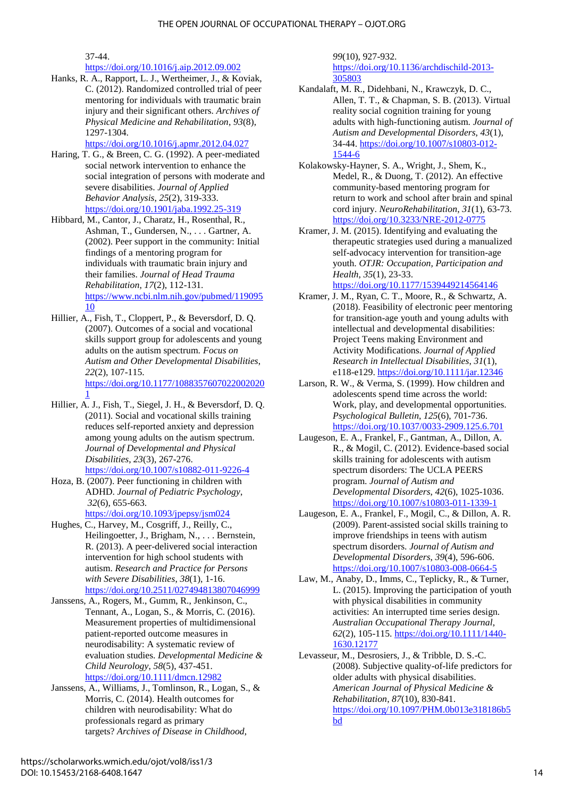#### THE OPEN JOURNAL OF OCCUPATIONAL THERAPY – OJOT.ORG

37-44.

<https://doi.org/10.1016/j.aip.2012.09.002>

Hanks, R. A., Rapport, L. J., Wertheimer, J., & Koviak, C. (2012). Randomized controlled trial of peer mentoring for individuals with traumatic brain injury and their significant others. *Archives of Physical Medicine and Rehabilitation*, *93*(8), 1297-1304.

#### <https://doi.org/10.1016/j.apmr.2012.04.027>

- Haring, T. G., & Breen, C. G. (1992). A peer-mediated social network intervention to enhance the social integration of persons with moderate and severe disabilities. *Journal of Applied Behavior Analysis*, *25*(2), 319-333. <https://doi.org/10.1901/jaba.1992.25-319>
- Hibbard, M., Cantor, J., Charatz, H., Rosenthal, R., Ashman, T., Gundersen, N., . . . Gartner, A. (2002). Peer support in the community: Initial findings of a mentoring program for individuals with traumatic brain injury and their families. *Journal of Head Trauma Rehabilitation*, *17*(2), 112-131. [https://www.ncbi.nlm.nih.gov/pubmed/119095](https://www.ncbi.nlm.nih.gov/pubmed/11909510) [10](https://www.ncbi.nlm.nih.gov/pubmed/11909510)
- Hillier, A., Fish, T., Cloppert, P., & Beversdorf, D. Q. (2007). Outcomes of a social and vocational skills support group for adolescents and young adults on the autism spectrum. *Focus on Autism and Other Developmental Disabilities*, *22*(2), 107-115. [https://doi.org/10.1177/1088357607022002020](https://doi.org/10.1177/10883576070220020201) [1](https://doi.org/10.1177/10883576070220020201)
- Hillier, A. J., Fish, T., Siegel, J. H., & Beversdorf, D. Q. (2011). Social and vocational skills training reduces self-reported anxiety and depression among young adults on the autism spectrum. *Journal of Developmental and Physical Disabilities*, *23*(3), 267-276. <https://doi.org/10.1007/s10882-011-9226-4>
- Hoza, B. (2007). Peer functioning in children with ADHD. *Journal of Pediatric Psychology*, *32*(6), 655-663. <https://doi.org/10.1093/jpepsy/jsm024>
- Hughes, C., Harvey, M., Cosgriff, J., Reilly, C., Heilingoetter, J., Brigham, N., . . . Bernstein, R. (2013). A peer-delivered social interaction intervention for high school students with autism. *Research and Practice for Persons*

*with Severe Disabilities*, *38*(1), 1-16. <https://doi.org/10.2511/027494813807046999> Janssens, A., Rogers, M., Gumm, R., Jenkinson, C.,

- Tennant, A., Logan, S., & Morris, C. (2016). Measurement properties of multidimensional patient-reported outcome measures in neurodisability: A systematic review of evaluation studies. *Developmental Medicine & Child Neurology*, *58*(5), 437-451. <https://doi.org/10.1111/dmcn.12982>
- Janssens, A., Williams, J., Tomlinson, R., Logan, S., & Morris, C. (2014). Health outcomes for children with neurodisability: What do professionals regard as primary targets? *Archives of Disease in Childhood*,

*99*(10), 927-932.

[https://doi.org/10.1136/archdischild-2013-](https://doi.org/10.1136/archdischild-2013-305803) [305803](https://doi.org/10.1136/archdischild-2013-305803)

- Kandalaft, M. R., Didehbani, N., Krawczyk, D. C., Allen, T. T., & Chapman, S. B. (2013). Virtual reality social cognition training for young adults with high-functioning autism. *Journal of Autism and Developmental Disorders*, *43*(1), 34-44. [https://doi.org/10.1007/s10803-012-](https://doi.org/10.1007/s10803-012-1544-6) [1544-6](https://doi.org/10.1007/s10803-012-1544-6)
- Kolakowsky-Hayner, S. A., Wright, J., Shem, K., Medel, R., & Duong, T. (2012). An effective community-based mentoring program for return to work and school after brain and spinal cord injury. *NeuroRehabilitation*, *31*(1), 63-73. <https://doi.org/10.3233/NRE-2012-0775>
- Kramer, J. M. (2015). Identifying and evaluating the therapeutic strategies used during a manualized self-advocacy intervention for transition-age youth. *OTJR: Occupation, Participation and Health*, *35*(1), 23-33. <https://doi.org/10.1177/1539449214564146>
- Kramer, J. M., Ryan, C. T., Moore, R., & Schwartz, A. (2018). Feasibility of electronic peer mentoring for transition-age youth and young adults with intellectual and developmental disabilities: Project Teens making Environment and Activity Modifications. *Journal of Applied Research in Intellectual Disabilities*, *31*(1), e118-e129. <https://doi.org/10.1111/jar.12346>
- Larson, R. W., & Verma, S. (1999). How children and adolescents spend time across the world: Work, play, and developmental opportunities. *Psychological Bulletin*, *125*(6), 701-736. <https://doi.org/10.1037/0033-2909.125.6.701>
- Laugeson, E. A., Frankel, F., Gantman, A., Dillon, A. R., & Mogil, C. (2012). Evidence-based social skills training for adolescents with autism spectrum disorders: The UCLA PEERS program. *Journal of Autism and Developmental Disorders*, *42*(6), 1025-1036. <https://doi.org/10.1007/s10803-011-1339-1>
- Laugeson, E. A., Frankel, F., Mogil, C., & Dillon, A. R. (2009). Parent-assisted social skills training to improve friendships in teens with autism spectrum disorders. *Journal of Autism and Developmental Disorders*, *39*(4), 596-606. <https://doi.org/10.1007/s10803-008-0664-5>
- Law, M., Anaby, D., Imms, C., Teplicky, R., & Turner, L. (2015). Improving the participation of youth with physical disabilities in community activities: An interrupted time series design. *Australian Occupational Therapy Journal*, *62*(2), 105-115. [https://doi.org/10.1111/1440-](https://doi.org/10.1111/1440-1630.12177) [1630.12177](https://doi.org/10.1111/1440-1630.12177)
- Levasseur, M., Desrosiers, J., & Tribble, D. S.-C. (2008). Subjective quality-of-life predictors for older adults with physical disabilities. *American Journal of Physical Medicine & Rehabilitation*, *87*(10), 830-841. [https://doi.org/10.1097/PHM.0b013e318186b5](https://doi.org/10.1097/PHM.0b013e318186b5bd) [bd](https://doi.org/10.1097/PHM.0b013e318186b5bd)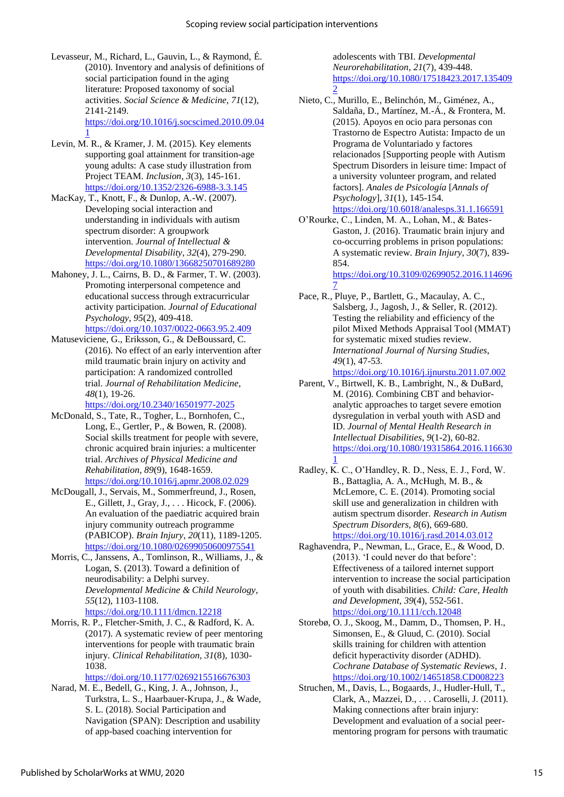Levasseur, M., Richard, L., Gauvin, L., & Raymond, É. (2010). Inventory and analysis of definitions of social participation found in the aging literature: Proposed taxonomy of social activities. *Social Science & Medicine*, *71*(12), 2141-2149. [https://doi.org/10.1016/j.socscimed.2010.09.04](https://doi.org/10.1016/j.socscimed.2010.09.041) [1](https://doi.org/10.1016/j.socscimed.2010.09.041)

- Levin, M. R., & Kramer, J. M. (2015). Key elements supporting goal attainment for transition-age young adults: A case study illustration from Project TEAM. *Inclusion*, *3*(3), 145-161. <https://doi.org/10.1352/2326-6988-3.3.145>
- MacKay, T., Knott, F., & Dunlop, A.-W. (2007). Developing social interaction and understanding in individuals with autism spectrum disorder: A groupwork intervention. *Journal of Intellectual & Developmental Disability*, *32*(4), 279-290. <https://doi.org/10.1080/13668250701689280>
- Mahoney, J. L., Cairns, B. D., & Farmer, T. W. (2003). Promoting interpersonal competence and educational success through extracurricular activity participation. *Journal of Educational Psychology*, *95*(2), 409-418. <https://doi.org/10.1037/0022-0663.95.2.409>
- Matuseviciene, G., Eriksson, G., & DeBoussard, C. (2016). No effect of an early intervention after mild traumatic brain injury on activity and participation: A randomized controlled trial. *Journal of Rehabilitation Medicine*, *48*(1), 19-26.

<https://doi.org/10.2340/16501977-2025>

- McDonald, S., Tate, R., Togher, L., Bornhofen, C., Long, E., Gertler, P., & Bowen, R. (2008). Social skills treatment for people with severe, chronic acquired brain injuries: a multicenter trial. *Archives of Physical Medicine and Rehabilitation*, *89*(9), 1648-1659. <https://doi.org/10.1016/j.apmr.2008.02.029>
- McDougall, J., Servais, M., Sommerfreund, J., Rosen, E., Gillett, J., Gray, J., . . . Hicock, F. (2006). An evaluation of the paediatric acquired brain injury community outreach programme (PABICOP). *Brain Injury*, *20*(11), 1189-1205. <https://doi.org/10.1080/02699050600975541>
- Morris, C., Janssens, A., Tomlinson, R., Williams, J., & Logan, S. (2013). Toward a definition of neurodisability: a Delphi survey. *Developmental Medicine & Child Neurology*, *55*(12), 1103-1108. <https://doi.org/10.1111/dmcn.12218>
- Morris, R. P., Fletcher-Smith, J. C., & Radford, K. A.
	- (2017). A systematic review of peer mentoring interventions for people with traumatic brain injury. *Clinical Rehabilitation*, *31*(8), 1030- 1038.

<https://doi.org/10.1177/0269215516676303>

Narad, M. E., Bedell, G., King, J. A., Johnson, J., Turkstra, L. S., Haarbauer-Krupa, J., & Wade, S. L. (2018). Social Participation and Navigation (SPAN): Description and usability of app-based coaching intervention for

adolescents with TBI. *Developmental Neurorehabilitation*, *21*(7), 439-448. [https://doi.org/10.1080/17518423.2017.135409](https://doi.org/10.1080/17518423.2017.1354092) [2](https://doi.org/10.1080/17518423.2017.1354092)

- Nieto, C., Murillo, E., Belinchón, M., Giménez, A., Saldaña, D., Martínez, M.-Á., & Frontera, M. (2015). Apoyos en ocio para personas con Trastorno de Espectro Autista: Impacto de un Programa de Voluntariado y factores relacionados [Supporting people with Autism Spectrum Disorders in leisure time: Impact of a university volunteer program, and related factors]. *Anales de Psicología* [*Annals of Psychology*], *31*(1), 145-154. <https://doi.org/10.6018/analesps.31.1.166591>
- O'Rourke, C., Linden, M. A., Lohan, M., & Bates-Gaston, J. (2016). Traumatic brain injury and co-occurring problems in prison populations: A systematic review. *Brain Injury*, *30*(7), 839- 854. [https://doi.org/10.3109/02699052.2016.114696](https://doi.org/10.3109/02699052.2016.1146967) [7](https://doi.org/10.3109/02699052.2016.1146967)
- Pace, R., Pluye, P., Bartlett, G., Macaulay, A. C., Salsberg, J., Jagosh, J., & Seller, R. (2012). Testing the reliability and efficiency of the pilot Mixed Methods Appraisal Tool (MMAT) for systematic mixed studies review. *International Journal of Nursing Studies*, *49*(1), 47-53.

<https://doi.org/10.1016/j.ijnurstu.2011.07.002>

- Parent, V., Birtwell, K. B., Lambright, N., & DuBard, M. (2016). Combining CBT and behavioranalytic approaches to target severe emotion dysregulation in verbal youth with ASD and ID. *Journal of Mental Health Research in Intellectual Disabilities*, *9*(1-2), 60-82. [https://doi.org/10.1080/19315864.2016.116630](https://doi.org/10.1080/19315864.2016.1166301) [1](https://doi.org/10.1080/19315864.2016.1166301)
- Radley, K. C., O'Handley, R. D., Ness, E. J., Ford, W. B., Battaglia, A. A., McHugh, M. B., & McLemore, C. E. (2014). Promoting social skill use and generalization in children with autism spectrum disorder. *Research in Autism Spectrum Disorders*, *8*(6), 669-680. <https://doi.org/10.1016/j.rasd.2014.03.012>
- Raghavendra, P., Newman, L., Grace, E., & Wood, D. (2013). 'I could never do that before': Effectiveness of a tailored internet support intervention to increase the social participation of youth with disabilities. *Child: Care, Health and Development*, *39*(4), 552-561. <https://doi.org/10.1111/cch.12048>
- Storebø, O. J., Skoog, M., Damm, D., Thomsen, P. H., Simonsen, E., & Gluud, C. (2010). Social skills training for children with attention deficit hyperactivity disorder (ADHD). *Cochrane Database of Systematic Reviews*, *1*. <https://doi.org/10.1002/14651858.CD008223>
- Struchen, M., Davis, L., Bogaards, J., Hudler-Hull, T., Clark, A., Mazzei, D., . . . Caroselli, J. (2011). Making connections after brain injury: Development and evaluation of a social peermentoring program for persons with traumatic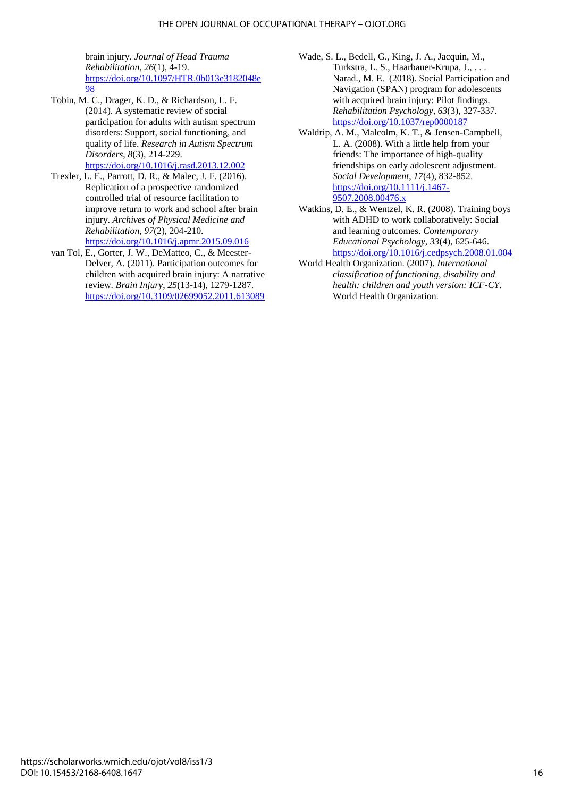brain injury. *Journal of Head Trauma Rehabilitation*, *26*(1), 4-19. [https://doi.org/10.1097/HTR.0b013e3182048e](https://doi.org/10.1097/HTR.0b013e3182048e98) [98](https://doi.org/10.1097/HTR.0b013e3182048e98)

- Tobin, M. C., Drager, K. D., & Richardson, L. F. (2014). A systematic review of social participation for adults with autism spectrum disorders: Support, social functioning, and quality of life. *Research in Autism Spectrum Disorders*, *8*(3), 214-229. <https://doi.org/10.1016/j.rasd.2013.12.002>
- Trexler, L. E., Parrott, D. R., & Malec, J. F. (2016). Replication of a prospective randomized controlled trial of resource facilitation to improve return to work and school after brain injury. *Archives of Physical Medicine and Rehabilitation*, *97*(2), 204-210. <https://doi.org/10.1016/j.apmr.2015.09.016>
- van Tol, E., Gorter, J. W., DeMatteo, C., & Meester-Delver, A. (2011). Participation outcomes for children with acquired brain injury: A narrative review. *Brain Injury*, *25*(13-14), 1279-1287. <https://doi.org/10.3109/02699052.2011.613089>
- Wade, S. L., Bedell, G., King, J. A., Jacquin, M., Turkstra, L. S., Haarbauer-Krupa, J., . . . Narad., M. E. (2018). Social Participation and Navigation (SPAN) program for adolescents with acquired brain injury: Pilot findings. *Rehabilitation Psychology*, *63*(3), 327-337. <https://doi.org/10.1037/rep0000187>
- Waldrip, A. M., Malcolm, K. T., & Jensen-Campbell, L. A. (2008). With a little help from your friends: The importance of high-quality friendships on early adolescent adjustment. *Social Development*, *17*(4), 832-852. [https://doi.org/10.1111/j.1467-](https://doi.org/10.1111/j.1467-9507.2008.00476.x) [9507.2008.00476.x](https://doi.org/10.1111/j.1467-9507.2008.00476.x)
- Watkins, D. E., & Wentzel, K. R. (2008). Training boys with ADHD to work collaboratively: Social and learning outcomes. *Contemporary Educational Psychology*, *33*(4), 625-646. <https://doi.org/10.1016/j.cedpsych.2008.01.004>
- World Health Organization. (2007). *International classification of functioning, disability and health: children and youth version: ICF-CY*. World Health Organization.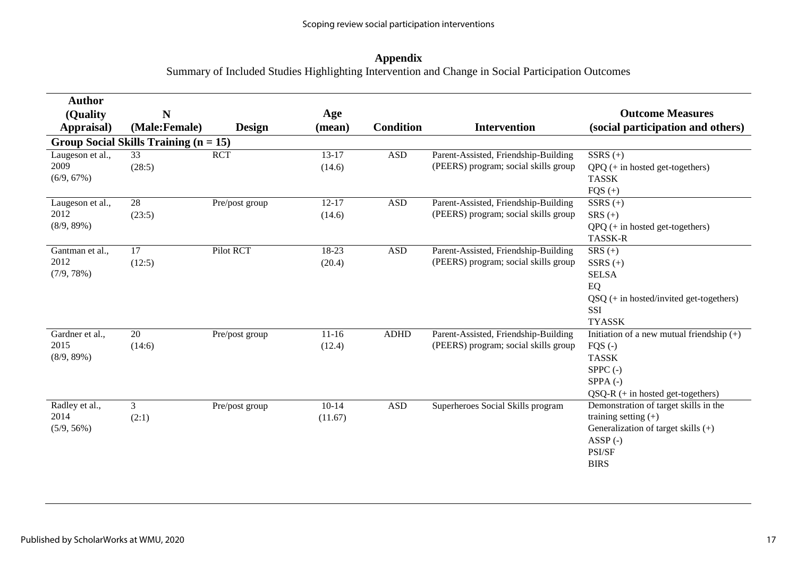**Appendix** Summary of Included Studies Highlighting Intervention and Change in Social Participation Outcomes

| <b>Author</b>                           |                 |                |           |                  |                                      |                                             |  |  |  |
|-----------------------------------------|-----------------|----------------|-----------|------------------|--------------------------------------|---------------------------------------------|--|--|--|
| (Quality                                | N               |                | Age       |                  |                                      | <b>Outcome Measures</b>                     |  |  |  |
| Appraisal)                              | (Male:Female)   | <b>Design</b>  | (mean)    | <b>Condition</b> | <b>Intervention</b>                  | (social participation and others)           |  |  |  |
| Group Social Skills Training $(n = 15)$ |                 |                |           |                  |                                      |                                             |  |  |  |
| Laugeson et al.,                        | $\overline{33}$ | <b>RCT</b>     | $13 - 17$ | <b>ASD</b>       | Parent-Assisted, Friendship-Building | $SSRS (+)$                                  |  |  |  |
| 2009                                    | (28:5)          |                | (14.6)    |                  | (PEERS) program; social skills group | $QPQ$ (+ in hosted get-togethers)           |  |  |  |
| $(6/9, 67\%)$                           |                 |                |           |                  |                                      | <b>TASSK</b>                                |  |  |  |
|                                         |                 |                |           |                  |                                      | $FQS (+)$                                   |  |  |  |
| Laugeson et al.,                        | 28              | Pre/post group | $12 - 17$ | <b>ASD</b>       | Parent-Assisted, Friendship-Building | $SSRS (+)$                                  |  |  |  |
| 2012                                    | (23:5)          |                | (14.6)    |                  | (PEERS) program; social skills group | $SRS (+)$                                   |  |  |  |
| $(8/9, 89\%)$                           |                 |                |           |                  |                                      | $QPQ$ (+ in hosted get-togethers)           |  |  |  |
|                                         |                 |                |           |                  |                                      | <b>TASSK-R</b>                              |  |  |  |
| Gantman et al.,                         | 17              | Pilot RCT      | 18-23     | <b>ASD</b>       | Parent-Assisted, Friendship-Building | $SRS (+)$                                   |  |  |  |
| 2012                                    | (12:5)          |                | (20.4)    |                  | (PEERS) program; social skills group | $SSRS (+)$                                  |  |  |  |
| (7/9, 78%)                              |                 |                |           |                  |                                      | <b>SELSA</b>                                |  |  |  |
|                                         |                 |                |           |                  |                                      | EQ                                          |  |  |  |
|                                         |                 |                |           |                  |                                      | $QSQ$ (+ in hosted/invited get-togethers)   |  |  |  |
|                                         |                 |                |           |                  |                                      | SSI                                         |  |  |  |
|                                         |                 |                |           |                  |                                      | <b>TYASSK</b>                               |  |  |  |
| Gardner et al.,                         | 20              | Pre/post group | $11 - 16$ | <b>ADHD</b>      | Parent-Assisted, Friendship-Building | Initiation of a new mutual friendship $(+)$ |  |  |  |
| 2015                                    | (14:6)          |                | (12.4)    |                  | (PEERS) program; social skills group | $FQS$ (-)                                   |  |  |  |
| $(8/9, 89\%)$                           |                 |                |           |                  |                                      | <b>TASSK</b>                                |  |  |  |
|                                         |                 |                |           |                  |                                      | $SPPC$ (-)                                  |  |  |  |
|                                         |                 |                |           |                  |                                      | $SPPA$ (-)                                  |  |  |  |
|                                         |                 |                |           |                  |                                      | $QSQ-R$ (+ in hosted get-togethers)         |  |  |  |
| Radley et al.,                          | $\overline{3}$  | Pre/post group | $10-14$   | <b>ASD</b>       | Superheroes Social Skills program    | Demonstration of target skills in the       |  |  |  |
| 2014                                    | (2:1)           |                | (11.67)   |                  |                                      | training setting $(+)$                      |  |  |  |
| $(5/9, 56\%)$                           |                 |                |           |                  |                                      | Generalization of target skills (+)         |  |  |  |
|                                         |                 |                |           |                  |                                      | $ASSP(-)$                                   |  |  |  |
|                                         |                 |                |           |                  |                                      | PSI/SF                                      |  |  |  |
|                                         |                 |                |           |                  |                                      | <b>BIRS</b>                                 |  |  |  |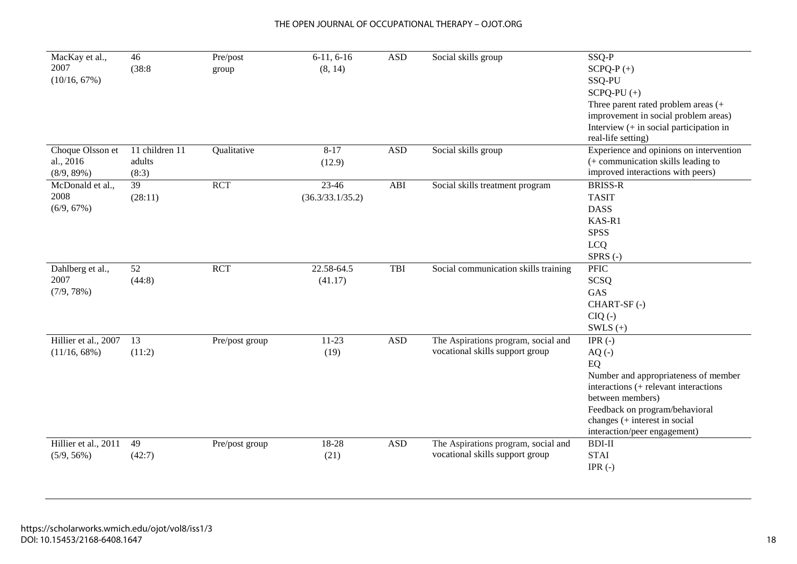| MacKay et al.,<br>2007<br>(10/16, 67%)<br>Choque Olsson et | 46<br>(38:8)<br>11 children 11 | Pre/post<br>group<br>Qualitative | $6-11, 6-16$<br>(8, 14)<br>$8 - 17$ | <b>ASD</b><br>$\mathbf{ASD}$ | Social skills group<br>Social skills group                             | SSQ-P<br>$SCPQ-P (+)$<br>SSQ-PU<br>$SCPQ-PU(+)$<br>Three parent rated problem areas (+<br>improvement in social problem areas)<br>Interview $(+)$ in social participation in<br>real-life setting)<br>Experience and opinions on intervention |
|------------------------------------------------------------|--------------------------------|----------------------------------|-------------------------------------|------------------------------|------------------------------------------------------------------------|-----------------------------------------------------------------------------------------------------------------------------------------------------------------------------------------------------------------------------------------------|
| al., 2016<br>$(8/9, 89\%)$                                 | adults<br>(8:3)                |                                  | (12.9)                              |                              |                                                                        | (+ communication skills leading to<br>improved interactions with peers)                                                                                                                                                                       |
| McDonald et al.,<br>2008<br>(6/9, 67%)                     | 39<br>(28:11)                  | <b>RCT</b>                       | 23-46<br>(36.3/33.1/35.2)           | ABI                          | Social skills treatment program                                        | <b>BRISS-R</b><br><b>TASIT</b><br><b>DASS</b><br>KAS-R1<br><b>SPSS</b><br><b>LCQ</b><br>$SPRS$ (-)                                                                                                                                            |
| Dahlberg et al.,<br>2007<br>(7/9, 78%)                     | 52<br>(44:8)                   | <b>RCT</b>                       | 22.58-64.5<br>(41.17)               | TBI                          | Social communication skills training                                   | <b>PFIC</b><br><b>SCSQ</b><br>GAS<br>CHART-SF (-)<br>$CIQ(-)$<br>$SWLS (+)$                                                                                                                                                                   |
| Hillier et al., 2007<br>$(11/16, 68\%)$                    | 13<br>(11:2)                   | Pre/post group                   | $11-23$<br>(19)                     | <b>ASD</b>                   | The Aspirations program, social and<br>vocational skills support group | IPR $(-)$<br>$AQ(-)$<br>EQ<br>Number and appropriateness of member<br>interactions (+ relevant interactions<br>between members)<br>Feedback on program/behavioral<br>changes (+ interest in social<br>interaction/peer engagement)            |
| Hillier et al., 2011<br>$(5/9, 56\%)$                      | 49<br>(42:7)                   | Pre/post group                   | 18-28<br>(21)                       | <b>ASD</b>                   | The Aspirations program, social and<br>vocational skills support group | <b>BDI-II</b><br><b>STAI</b><br>IPR $(-)$                                                                                                                                                                                                     |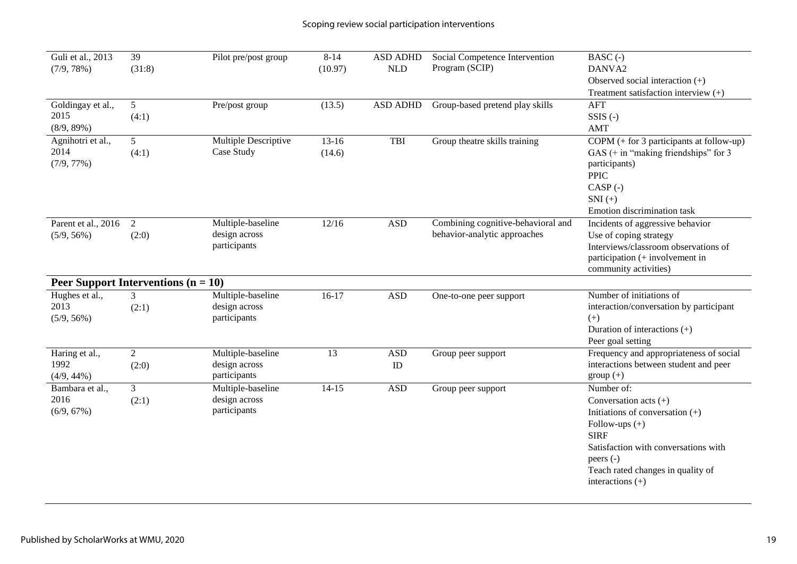| Guli et al., 2013   | 39                                         | Pilot pre/post group | $8 - 14$  | <b>ASD ADHD</b> | Social Competence Intervention     | BASC(-)                                    |
|---------------------|--------------------------------------------|----------------------|-----------|-----------------|------------------------------------|--------------------------------------------|
| (7/9, 78%)          | (31:8)                                     |                      | (10.97)   | NLD             | Program (SCIP)                     | DANVA2                                     |
|                     |                                            |                      |           |                 |                                    | Observed social interaction $(+)$          |
|                     |                                            |                      |           |                 |                                    | Treatment satisfaction interview $(+)$     |
| Goldingay et al.,   | 5 <sup>5</sup>                             | Pre/post group       | (13.5)    | <b>ASD ADHD</b> | Group-based pretend play skills    | <b>AFT</b>                                 |
| 2015                | (4:1)                                      |                      |           |                 |                                    | $SSIS$ $(-)$                               |
| (8/9, 89%)          |                                            |                      |           |                 |                                    | <b>AMT</b>                                 |
| Agnihotri et al.,   | 5 <sup>5</sup>                             | Multiple Descriptive | $13-16$   | TBI             | Group theatre skills training      | COPM $(+$ for 3 participants at follow-up) |
| 2014                | (4:1)                                      | Case Study           | (14.6)    |                 |                                    | GAS ( $+$ in "making friendships" for 3    |
| (7/9, 77%)          |                                            |                      |           |                 |                                    | participants)                              |
|                     |                                            |                      |           |                 |                                    | <b>PPIC</b>                                |
|                     |                                            |                      |           |                 |                                    | $CASP(-)$                                  |
|                     |                                            |                      |           |                 |                                    | $SNI(+)$                                   |
|                     |                                            |                      |           |                 |                                    | Emotion discrimination task                |
| Parent et al., 2016 | $\overline{2}$                             | Multiple-baseline    | 12/16     | <b>ASD</b>      | Combining cognitive-behavioral and | Incidents of aggressive behavior           |
| $(5/9, 56\%)$       | (2:0)                                      | design across        |           |                 | behavior-analytic approaches       | Use of coping strategy                     |
|                     |                                            | participants         |           |                 |                                    | Interviews/classroom observations of       |
|                     |                                            |                      |           |                 |                                    | participation (+ involvement in            |
|                     |                                            |                      |           |                 |                                    | community activities)                      |
|                     | <b>Peer Support Interventions (n = 10)</b> |                      |           |                 |                                    |                                            |
| Hughes et al.,      | 3                                          | Multiple-baseline    | $16-17$   | <b>ASD</b>      | One-to-one peer support            | Number of initiations of                   |
| 2013                | (2:1)                                      | design across        |           |                 |                                    | interaction/conversation by participant    |
| $(5/9, 56\%)$       |                                            | participants         |           |                 |                                    | $(+)$                                      |
|                     |                                            |                      |           |                 |                                    | Duration of interactions (+)               |
|                     |                                            |                      |           |                 |                                    | Peer goal setting                          |
| Haring et al.,      | $\overline{2}$                             | Multiple-baseline    | 13        | <b>ASD</b>      | Group peer support                 | Frequency and appropriateness of social    |
| 1992                | (2:0)                                      | design across        |           | ID              |                                    | interactions between student and peer      |
| $(4/9, 44\%)$       |                                            | participants         |           |                 |                                    | $group (+)$                                |
| Bambara et al.,     | 3                                          | Multiple-baseline    | $14 - 15$ | <b>ASD</b>      | Group peer support                 | Number of:                                 |
| 2016                | (2:1)                                      | design across        |           |                 |                                    | Conversation acts (+)                      |
| (6/9, 67%)          |                                            | participants         |           |                 |                                    | Initiations of conversation (+)            |
|                     |                                            |                      |           |                 |                                    | Follow-ups $(+)$                           |
|                     |                                            |                      |           |                 |                                    | <b>SIRF</b>                                |
|                     |                                            |                      |           |                 |                                    | Satisfaction with conversations with       |
|                     |                                            |                      |           |                 |                                    | peers (-)                                  |
|                     |                                            |                      |           |                 |                                    | Teach rated changes in quality of          |
|                     |                                            |                      |           |                 |                                    | interactions $(+)$                         |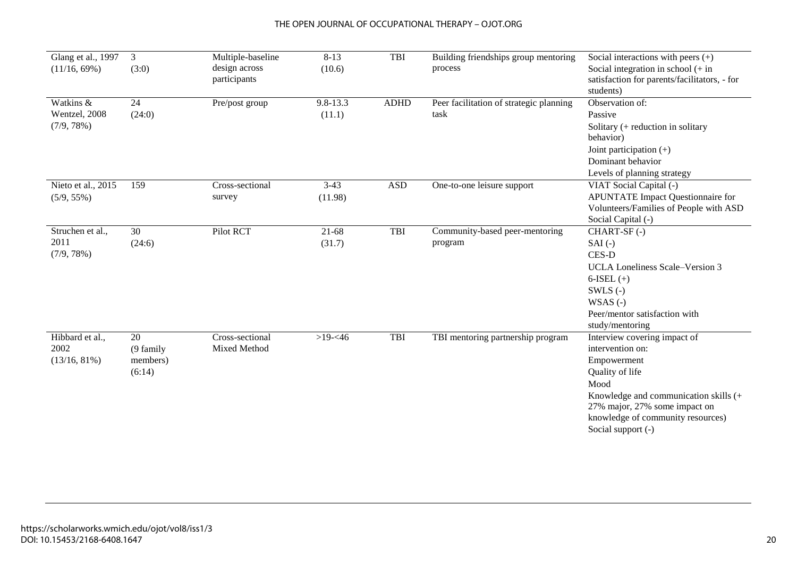#### THE OPEN JOURNAL OF OCCUPATIONAL THERAPY – OJOT.ORG

| Glang et al., 1997 | 3               | Multiple-baseline | $8 - 13$   | TBI         | Building friendships group mentoring    | Social interactions with peers $(+)$         |
|--------------------|-----------------|-------------------|------------|-------------|-----------------------------------------|----------------------------------------------|
| $(11/16, 69\%)$    | (3:0)           | design across     | (10.6)     |             | process                                 | Social integration in school $(+$ in         |
|                    |                 | participants      |            |             |                                         | satisfaction for parents/facilitators, - for |
|                    |                 |                   |            |             |                                         | students)                                    |
| Watkins &          | 24              | Pre/post group    | 9.8-13.3   | <b>ADHD</b> | Peer facilitation of strategic planning | Observation of:                              |
| Wentzel, 2008      | (24:0)          |                   | (11.1)     |             | task                                    | Passive                                      |
| (7/9, 78%)         |                 |                   |            |             |                                         | Solitary (+ reduction in solitary            |
|                    |                 |                   |            |             |                                         | behavior)                                    |
|                    |                 |                   |            |             |                                         | Joint participation $(+)$                    |
|                    |                 |                   |            |             |                                         | Dominant behavior                            |
|                    |                 |                   |            |             |                                         | Levels of planning strategy                  |
| Nieto et al., 2015 | 159             | Cross-sectional   | $3-43$     | <b>ASD</b>  | One-to-one leisure support              | VIAT Social Capital (-)                      |
| $(5/9, 55\%)$      |                 | survey            | (11.98)    |             |                                         | <b>APUNTATE Impact Questionnaire for</b>     |
|                    |                 |                   |            |             |                                         | Volunteers/Families of People with ASD       |
|                    |                 |                   |            |             |                                         | Social Capital (-)                           |
| Struchen et al.,   | $\overline{30}$ | Pilot RCT         | 21-68      | TBI         | Community-based peer-mentoring          | CHART-SF(-)                                  |
| 2011               | (24:6)          |                   | (31.7)     |             | program                                 | $SAI(-)$                                     |
| (7/9, 78%)         |                 |                   |            |             |                                         | CES-D                                        |
|                    |                 |                   |            |             |                                         | UCLA Loneliness Scale–Version 3              |
|                    |                 |                   |            |             |                                         | $6$ -ISEL $(+)$                              |
|                    |                 |                   |            |             |                                         | SWLS $(-)$                                   |
|                    |                 |                   |            |             |                                         | $WSAS$ (-)                                   |
|                    |                 |                   |            |             |                                         | Peer/mentor satisfaction with                |
|                    |                 |                   |            |             |                                         | study/mentoring                              |
| Hibbard et al.,    | 20              | Cross-sectional   | $>19 - 46$ | TBI         | TBI mentoring partnership program       | Interview covering impact of                 |
| 2002               | (9 family       | Mixed Method      |            |             |                                         | intervention on:                             |
| $(13/16, 81\%)$    | members)        |                   |            |             |                                         | Empowerment                                  |
|                    | (6:14)          |                   |            |             |                                         | Quality of life                              |
|                    |                 |                   |            |             |                                         | Mood                                         |
|                    |                 |                   |            |             |                                         | Knowledge and communication skills (+        |
|                    |                 |                   |            |             |                                         | 27% major, 27% some impact on                |
|                    |                 |                   |            |             |                                         | knowledge of community resources)            |
|                    |                 |                   |            |             |                                         | Social support (-)                           |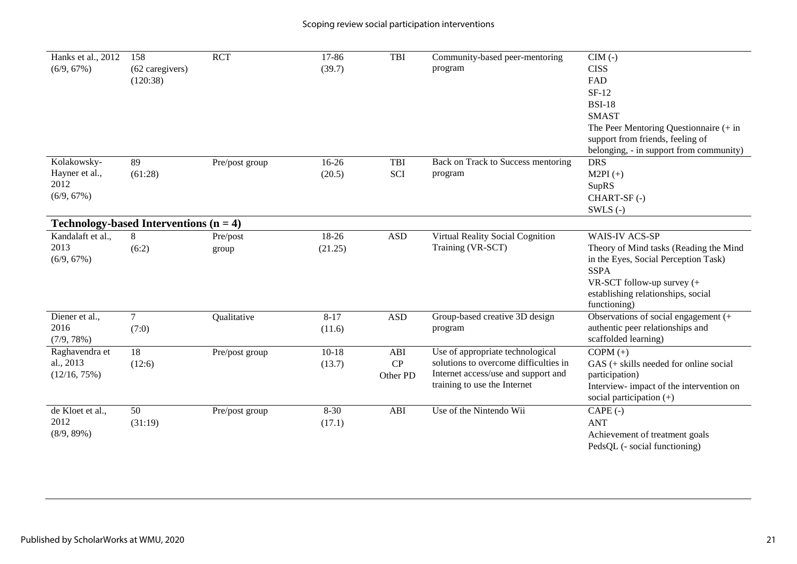| Hanks et al., 2012 | 158                                      | <b>RCT</b>     | 17-86     | TBI            | Community-based peer-mentoring        | $CIM$ $(-)$                               |
|--------------------|------------------------------------------|----------------|-----------|----------------|---------------------------------------|-------------------------------------------|
| $(6/9, 67\%)$      | (62 caregivers)                          |                | (39.7)    |                | program                               | <b>CISS</b>                               |
|                    | (120:38)                                 |                |           |                |                                       | FAD                                       |
|                    |                                          |                |           |                |                                       | $SF-12$                                   |
|                    |                                          |                |           |                |                                       | <b>BSI-18</b>                             |
|                    |                                          |                |           |                |                                       | <b>SMAST</b>                              |
|                    |                                          |                |           |                |                                       | The Peer Mentoring Questionnaire $(+)$ in |
|                    |                                          |                |           |                |                                       | support from friends, feeling of          |
|                    |                                          |                |           |                |                                       | belonging, - in support from community)   |
| Kolakowsky-        | 89                                       | Pre/post group | $16-26$   | TBI            | Back on Track to Success mentoring    | <b>DRS</b>                                |
| Hayner et al.,     | (61:28)                                  |                | (20.5)    | SCI            | program                               | $M2PI (+)$                                |
| 2012               |                                          |                |           |                |                                       | SupRS                                     |
| $(6/9, 67\%)$      |                                          |                |           |                |                                       | CHART-SF(-)                               |
|                    |                                          |                |           |                |                                       | $SWLS$ (-)                                |
|                    | Technology-based Interventions $(n = 4)$ |                |           |                |                                       |                                           |
| Kandalaft et al.,  | 8                                        | Pre/post       | 18-26     | <b>ASD</b>     | Virtual Reality Social Cognition      | <b>WAIS-IV ACS-SP</b>                     |
| 2013               | (6:2)                                    | group          | (21.25)   |                | Training (VR-SCT)                     | Theory of Mind tasks (Reading the Mind    |
| (6/9, 67%)         |                                          |                |           |                |                                       | in the Eyes, Social Perception Task)      |
|                    |                                          |                |           |                |                                       | <b>SSPA</b>                               |
|                    |                                          |                |           |                |                                       | VR-SCT follow-up survey (+                |
|                    |                                          |                |           |                |                                       | establishing relationships, social        |
|                    |                                          |                |           |                |                                       | functioning)                              |
| Diener et al.,     | $7\phantom{.0}$                          | Qualitative    | $8 - 17$  | $\mathbf{ASD}$ | Group-based creative 3D design        | Observations of social engagement (+      |
| 2016               | (7:0)                                    |                | (11.6)    |                | program                               | authentic peer relationships and          |
| (7/9, 78%)         |                                          |                |           |                |                                       | scaffolded learning)                      |
| Raghavendra et     | 18                                       | Pre/post group | $10 - 18$ | ABI            | Use of appropriate technological      | $COPM (+)$                                |
| al., 2013          | (12:6)                                   |                | (13.7)    | CP             | solutions to overcome difficulties in | $GAS$ (+ skills needed for online social  |
| $(12/16, 75\%)$    |                                          |                |           | Other PD       | Internet access/use and support and   | participation)                            |
|                    |                                          |                |           |                | training to use the Internet          | Interview- impact of the intervention on  |
|                    |                                          |                |           |                |                                       | social participation $(+)$                |
| de Kloet et al.,   | 50                                       | Pre/post group | $8 - 30$  | ABI            | Use of the Nintendo Wii               | $CAPE$ (-)                                |
| 2012               | (31:19)                                  |                | (17.1)    |                |                                       | <b>ANT</b>                                |
| (8/9, 89%)         |                                          |                |           |                |                                       | Achievement of treatment goals            |
|                    |                                          |                |           |                |                                       | PedsQL (- social functioning)             |